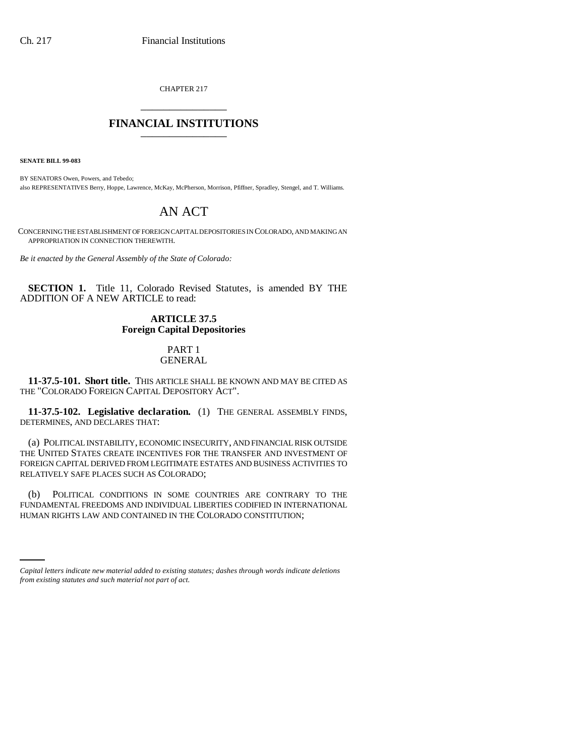CHAPTER 217 \_\_\_\_\_\_\_\_\_\_\_\_\_\_\_

## **FINANCIAL INSTITUTIONS** \_\_\_\_\_\_\_\_\_\_\_\_\_\_\_

**SENATE BILL 99-083** 

BY SENATORS Owen, Powers, and Tebedo; also REPRESENTATIVES Berry, Hoppe, Lawrence, McKay, McPherson, Morrison, Pfiffner, Spradley, Stengel, and T. Williams.

# AN ACT

CONCERNING THE ESTABLISHMENT OF FOREIGN CAPITAL DEPOSITORIES IN COLORADO, AND MAKING AN APPROPRIATION IN CONNECTION THEREWITH.

*Be it enacted by the General Assembly of the State of Colorado:*

**SECTION 1.** Title 11, Colorado Revised Statutes, is amended BY THE ADDITION OF A NEW ARTICLE to read:

## **ARTICLE 37.5 Foreign Capital Depositories**

#### PART 1 GENERAL

**11-37.5-101. Short title.** THIS ARTICLE SHALL BE KNOWN AND MAY BE CITED AS THE "COLORADO FOREIGN CAPITAL DEPOSITORY ACT".

**11-37.5-102. Legislative declaration.** (1) THE GENERAL ASSEMBLY FINDS, DETERMINES, AND DECLARES THAT:

(a) POLITICAL INSTABILITY, ECONOMIC INSECURITY, AND FINANCIAL RISK OUTSIDE THE UNITED STATES CREATE INCENTIVES FOR THE TRANSFER AND INVESTMENT OF FOREIGN CAPITAL DERIVED FROM LEGITIMATE ESTATES AND BUSINESS ACTIVITIES TO RELATIVELY SAFE PLACES SUCH AS COLORADO;

HUMAN RIGHTS LAW AND CONTAINED IN THE COLORADO CONSTITUTION;(b) POLITICAL CONDITIONS IN SOME COUNTRIES ARE CONTRARY TO THE FUNDAMENTAL FREEDOMS AND INDIVIDUAL LIBERTIES CODIFIED IN INTERNATIONAL

*Capital letters indicate new material added to existing statutes; dashes through words indicate deletions from existing statutes and such material not part of act.*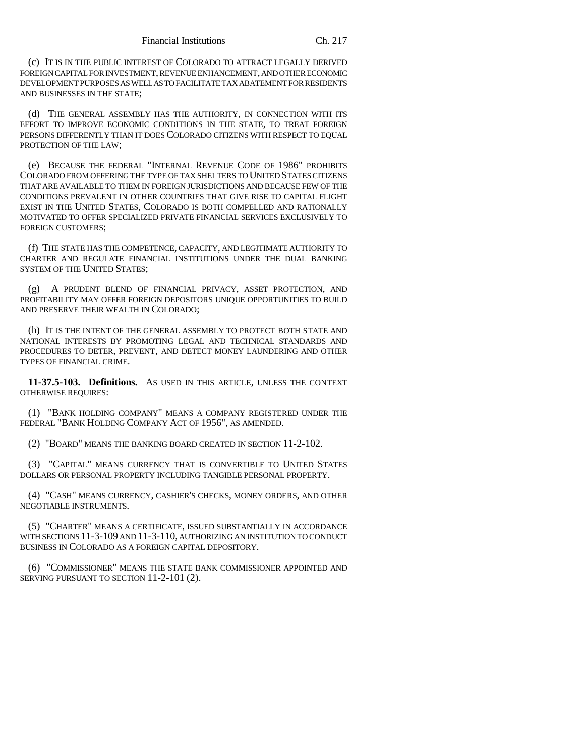(c) IT IS IN THE PUBLIC INTEREST OF COLORADO TO ATTRACT LEGALLY DERIVED FOREIGN CAPITAL FOR INVESTMENT, REVENUE ENHANCEMENT, AND OTHER ECONOMIC DEVELOPMENT PURPOSES AS WELL AS TO FACILITATE TAX ABATEMENT FOR RESIDENTS AND BUSINESSES IN THE STATE;

(d) THE GENERAL ASSEMBLY HAS THE AUTHORITY, IN CONNECTION WITH ITS EFFORT TO IMPROVE ECONOMIC CONDITIONS IN THE STATE, TO TREAT FOREIGN PERSONS DIFFERENTLY THAN IT DOES COLORADO CITIZENS WITH RESPECT TO EQUAL PROTECTION OF THE LAW;

(e) BECAUSE THE FEDERAL "INTERNAL REVENUE CODE OF 1986" PROHIBITS COLORADO FROM OFFERING THE TYPE OF TAX SHELTERS TO UNITED STATES CITIZENS THAT ARE AVAILABLE TO THEM IN FOREIGN JURISDICTIONS AND BECAUSE FEW OF THE CONDITIONS PREVALENT IN OTHER COUNTRIES THAT GIVE RISE TO CAPITAL FLIGHT EXIST IN THE UNITED STATES, COLORADO IS BOTH COMPELLED AND RATIONALLY MOTIVATED TO OFFER SPECIALIZED PRIVATE FINANCIAL SERVICES EXCLUSIVELY TO FOREIGN CUSTOMERS;

(f) THE STATE HAS THE COMPETENCE, CAPACITY, AND LEGITIMATE AUTHORITY TO CHARTER AND REGULATE FINANCIAL INSTITUTIONS UNDER THE DUAL BANKING SYSTEM OF THE UNITED STATES;

(g) A PRUDENT BLEND OF FINANCIAL PRIVACY, ASSET PROTECTION, AND PROFITABILITY MAY OFFER FOREIGN DEPOSITORS UNIQUE OPPORTUNITIES TO BUILD AND PRESERVE THEIR WEALTH IN COLORADO;

(h) IT IS THE INTENT OF THE GENERAL ASSEMBLY TO PROTECT BOTH STATE AND NATIONAL INTERESTS BY PROMOTING LEGAL AND TECHNICAL STANDARDS AND PROCEDURES TO DETER, PREVENT, AND DETECT MONEY LAUNDERING AND OTHER TYPES OF FINANCIAL CRIME.

**11-37.5-103. Definitions.** AS USED IN THIS ARTICLE, UNLESS THE CONTEXT OTHERWISE REQUIRES:

(1) "BANK HOLDING COMPANY" MEANS A COMPANY REGISTERED UNDER THE FEDERAL "BANK HOLDING COMPANY ACT OF 1956", AS AMENDED.

(2) "BOARD" MEANS THE BANKING BOARD CREATED IN SECTION 11-2-102.

(3) "CAPITAL" MEANS CURRENCY THAT IS CONVERTIBLE TO UNITED STATES DOLLARS OR PERSONAL PROPERTY INCLUDING TANGIBLE PERSONAL PROPERTY.

(4) "CASH" MEANS CURRENCY, CASHIER'S CHECKS, MONEY ORDERS, AND OTHER NEGOTIABLE INSTRUMENTS.

(5) "CHARTER" MEANS A CERTIFICATE, ISSUED SUBSTANTIALLY IN ACCORDANCE WITH SECTIONS 11-3-109 AND 11-3-110, AUTHORIZING AN INSTITUTION TO CONDUCT BUSINESS IN COLORADO AS A FOREIGN CAPITAL DEPOSITORY.

(6) "COMMISSIONER" MEANS THE STATE BANK COMMISSIONER APPOINTED AND SERVING PURSUANT TO SECTION 11-2-101 (2).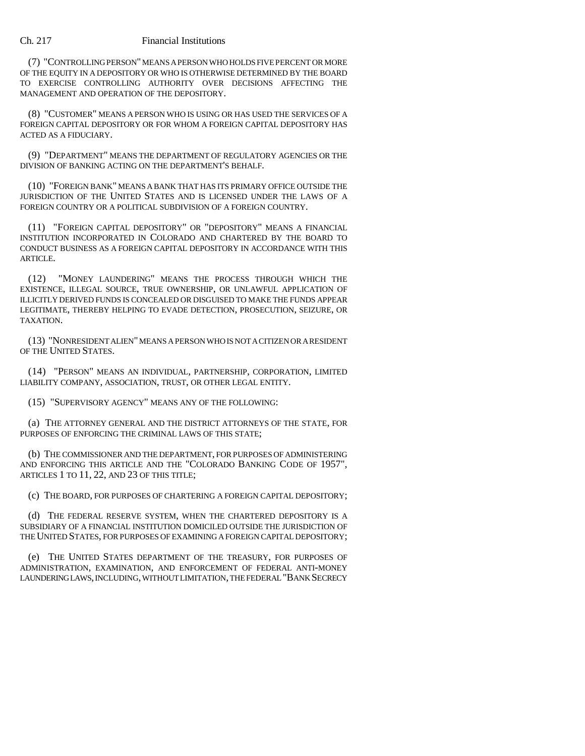(7) "CONTROLLING PERSON" MEANS A PERSON WHO HOLDS FIVE PERCENT OR MORE OF THE EQUITY IN A DEPOSITORY OR WHO IS OTHERWISE DETERMINED BY THE BOARD TO EXERCISE CONTROLLING AUTHORITY OVER DECISIONS AFFECTING THE MANAGEMENT AND OPERATION OF THE DEPOSITORY.

(8) "CUSTOMER" MEANS A PERSON WHO IS USING OR HAS USED THE SERVICES OF A FOREIGN CAPITAL DEPOSITORY OR FOR WHOM A FOREIGN CAPITAL DEPOSITORY HAS ACTED AS A FIDUCIARY.

(9) "DEPARTMENT" MEANS THE DEPARTMENT OF REGULATORY AGENCIES OR THE DIVISION OF BANKING ACTING ON THE DEPARTMENT'S BEHALF.

(10) "FOREIGN BANK" MEANS A BANK THAT HAS ITS PRIMARY OFFICE OUTSIDE THE JURISDICTION OF THE UNITED STATES AND IS LICENSED UNDER THE LAWS OF A FOREIGN COUNTRY OR A POLITICAL SUBDIVISION OF A FOREIGN COUNTRY.

(11) "FOREIGN CAPITAL DEPOSITORY" OR "DEPOSITORY" MEANS A FINANCIAL INSTITUTION INCORPORATED IN COLORADO AND CHARTERED BY THE BOARD TO CONDUCT BUSINESS AS A FOREIGN CAPITAL DEPOSITORY IN ACCORDANCE WITH THIS ARTICLE.

(12) "MONEY LAUNDERING" MEANS THE PROCESS THROUGH WHICH THE EXISTENCE, ILLEGAL SOURCE, TRUE OWNERSHIP, OR UNLAWFUL APPLICATION OF ILLICITLY DERIVED FUNDS IS CONCEALED OR DISGUISED TO MAKE THE FUNDS APPEAR LEGITIMATE, THEREBY HELPING TO EVADE DETECTION, PROSECUTION, SEIZURE, OR TAXATION.

(13) "NONRESIDENT ALIEN" MEANS A PERSON WHO IS NOT A CITIZEN OR A RESIDENT OF THE UNITED STATES.

(14) "PERSON" MEANS AN INDIVIDUAL, PARTNERSHIP, CORPORATION, LIMITED LIABILITY COMPANY, ASSOCIATION, TRUST, OR OTHER LEGAL ENTITY.

(15) "SUPERVISORY AGENCY" MEANS ANY OF THE FOLLOWING:

(a) THE ATTORNEY GENERAL AND THE DISTRICT ATTORNEYS OF THE STATE, FOR PURPOSES OF ENFORCING THE CRIMINAL LAWS OF THIS STATE;

(b) THE COMMISSIONER AND THE DEPARTMENT, FOR PURPOSES OF ADMINISTERING AND ENFORCING THIS ARTICLE AND THE "COLORADO BANKING CODE OF 1957", ARTICLES 1 TO 11, 22, AND 23 OF THIS TITLE;

(c) THE BOARD, FOR PURPOSES OF CHARTERING A FOREIGN CAPITAL DEPOSITORY;

(d) THE FEDERAL RESERVE SYSTEM, WHEN THE CHARTERED DEPOSITORY IS A SUBSIDIARY OF A FINANCIAL INSTITUTION DOMICILED OUTSIDE THE JURISDICTION OF THE UNITED STATES, FOR PURPOSES OF EXAMINING A FOREIGN CAPITAL DEPOSITORY;

(e) THE UNITED STATES DEPARTMENT OF THE TREASURY, FOR PURPOSES OF ADMINISTRATION, EXAMINATION, AND ENFORCEMENT OF FEDERAL ANTI-MONEY LAUNDERING LAWS, INCLUDING, WITHOUT LIMITATION, THE FEDERAL "BANK SECRECY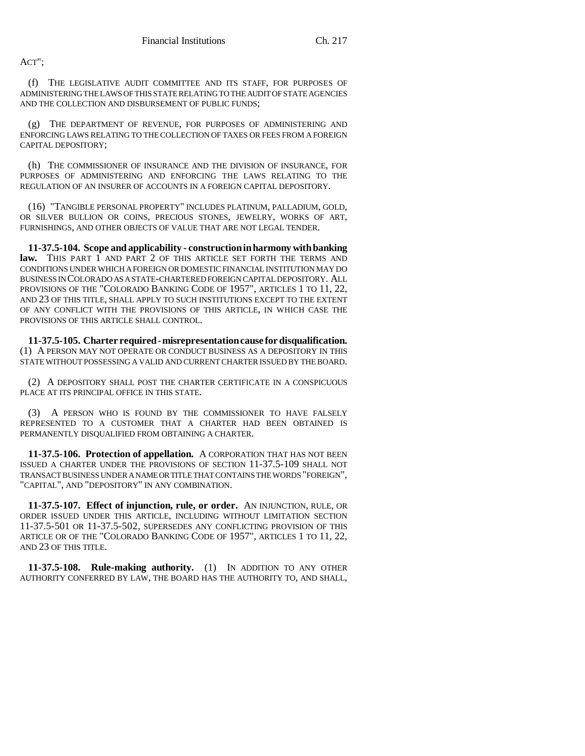ACT";

(f) THE LEGISLATIVE AUDIT COMMITTEE AND ITS STAFF, FOR PURPOSES OF ADMINISTERING THE LAWS OF THIS STATE RELATING TO THE AUDIT OF STATE AGENCIES AND THE COLLECTION AND DISBURSEMENT OF PUBLIC FUNDS;

(g) THE DEPARTMENT OF REVENUE, FOR PURPOSES OF ADMINISTERING AND ENFORCING LAWS RELATING TO THE COLLECTION OF TAXES OR FEES FROM A FOREIGN CAPITAL DEPOSITORY;

(h) THE COMMISSIONER OF INSURANCE AND THE DIVISION OF INSURANCE, FOR PURPOSES OF ADMINISTERING AND ENFORCING THE LAWS RELATING TO THE REGULATION OF AN INSURER OF ACCOUNTS IN A FOREIGN CAPITAL DEPOSITORY.

(16) "TANGIBLE PERSONAL PROPERTY" INCLUDES PLATINUM, PALLADIUM, GOLD, OR SILVER BULLION OR COINS, PRECIOUS STONES, JEWELRY, WORKS OF ART, FURNISHINGS, AND OTHER OBJECTS OF VALUE THAT ARE NOT LEGAL TENDER.

**11-37.5-104. Scope and applicability - construction in harmony with banking** law. THIS PART 1 AND PART 2 OF THIS ARTICLE SET FORTH THE TERMS AND CONDITIONS UNDER WHICH A FOREIGN OR DOMESTIC FINANCIAL INSTITUTION MAY DO BUSINESS IN COLORADO AS A STATE-CHARTERED FOREIGN CAPITAL DEPOSITORY. ALL PROVISIONS OF THE "COLORADO BANKING CODE OF 1957", ARTICLES 1 TO 11, 22, AND 23 OF THIS TITLE, SHALL APPLY TO SUCH INSTITUTIONS EXCEPT TO THE EXTENT OF ANY CONFLICT WITH THE PROVISIONS OF THIS ARTICLE, IN WHICH CASE THE PROVISIONS OF THIS ARTICLE SHALL CONTROL.

**11-37.5-105. Charter required - misrepresentation cause for disqualification.** (1) A PERSON MAY NOT OPERATE OR CONDUCT BUSINESS AS A DEPOSITORY IN THIS STATE WITHOUT POSSESSING A VALID AND CURRENT CHARTER ISSUED BY THE BOARD.

(2) A DEPOSITORY SHALL POST THE CHARTER CERTIFICATE IN A CONSPICUOUS PLACE AT ITS PRINCIPAL OFFICE IN THIS STATE.

(3) A PERSON WHO IS FOUND BY THE COMMISSIONER TO HAVE FALSELY REPRESENTED TO A CUSTOMER THAT A CHARTER HAD BEEN OBTAINED IS PERMANENTLY DISQUALIFIED FROM OBTAINING A CHARTER.

**11-37.5-106. Protection of appellation.** A CORPORATION THAT HAS NOT BEEN ISSUED A CHARTER UNDER THE PROVISIONS OF SECTION 11-37.5-109 SHALL NOT TRANSACT BUSINESS UNDER A NAME OR TITLE THAT CONTAINS THE WORDS "FOREIGN", "CAPITAL", AND "DEPOSITORY" IN ANY COMBINATION.

**11-37.5-107. Effect of injunction, rule, or order.** AN INJUNCTION, RULE, OR ORDER ISSUED UNDER THIS ARTICLE, INCLUDING WITHOUT LIMITATION SECTION 11-37.5-501 OR 11-37.5-502, SUPERSEDES ANY CONFLICTING PROVISION OF THIS ARTICLE OR OF THE "COLORADO BANKING CODE OF 1957", ARTICLES 1 TO 11, 22, AND 23 OF THIS TITLE.

**11-37.5-108. Rule-making authority.** (1) IN ADDITION TO ANY OTHER AUTHORITY CONFERRED BY LAW, THE BOARD HAS THE AUTHORITY TO, AND SHALL,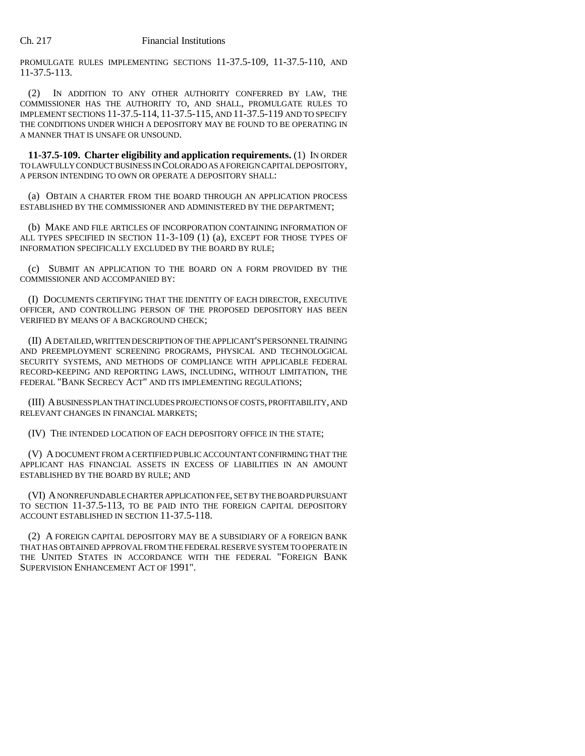PROMULGATE RULES IMPLEMENTING SECTIONS 11-37.5-109, 11-37.5-110, AND 11-37.5-113.

(2) IN ADDITION TO ANY OTHER AUTHORITY CONFERRED BY LAW, THE COMMISSIONER HAS THE AUTHORITY TO, AND SHALL, PROMULGATE RULES TO IMPLEMENT SECTIONS 11-37.5-114, 11-37.5-115, AND 11-37.5-119 AND TO SPECIFY THE CONDITIONS UNDER WHICH A DEPOSITORY MAY BE FOUND TO BE OPERATING IN A MANNER THAT IS UNSAFE OR UNSOUND.

**11-37.5-109. Charter eligibility and application requirements.** (1) IN ORDER TO LAWFULLY CONDUCT BUSINESS IN COLORADO AS A FOREIGN CAPITAL DEPOSITORY, A PERSON INTENDING TO OWN OR OPERATE A DEPOSITORY SHALL:

(a) OBTAIN A CHARTER FROM THE BOARD THROUGH AN APPLICATION PROCESS ESTABLISHED BY THE COMMISSIONER AND ADMINISTERED BY THE DEPARTMENT;

(b) MAKE AND FILE ARTICLES OF INCORPORATION CONTAINING INFORMATION OF ALL TYPES SPECIFIED IN SECTION 11-3-109 (1) (a), EXCEPT FOR THOSE TYPES OF INFORMATION SPECIFICALLY EXCLUDED BY THE BOARD BY RULE;

(c) SUBMIT AN APPLICATION TO THE BOARD ON A FORM PROVIDED BY THE COMMISSIONER AND ACCOMPANIED BY:

(I) DOCUMENTS CERTIFYING THAT THE IDENTITY OF EACH DIRECTOR, EXECUTIVE OFFICER, AND CONTROLLING PERSON OF THE PROPOSED DEPOSITORY HAS BEEN VERIFIED BY MEANS OF A BACKGROUND CHECK;

(II) A DETAILED, WRITTEN DESCRIPTION OF THE APPLICANT'S PERSONNEL TRAINING AND PREEMPLOYMENT SCREENING PROGRAMS, PHYSICAL AND TECHNOLOGICAL SECURITY SYSTEMS, AND METHODS OF COMPLIANCE WITH APPLICABLE FEDERAL RECORD-KEEPING AND REPORTING LAWS, INCLUDING, WITHOUT LIMITATION, THE FEDERAL "BANK SECRECY ACT" AND ITS IMPLEMENTING REGULATIONS;

(III) A BUSINESS PLAN THAT INCLUDES PROJECTIONS OF COSTS, PROFITABILITY, AND RELEVANT CHANGES IN FINANCIAL MARKETS;

(IV) THE INTENDED LOCATION OF EACH DEPOSITORY OFFICE IN THE STATE;

(V) A DOCUMENT FROM A CERTIFIED PUBLIC ACCOUNTANT CONFIRMING THAT THE APPLICANT HAS FINANCIAL ASSETS IN EXCESS OF LIABILITIES IN AN AMOUNT ESTABLISHED BY THE BOARD BY RULE; AND

(VI) A NONREFUNDABLE CHARTER APPLICATION FEE, SET BY THE BOARD PURSUANT TO SECTION 11-37.5-113, TO BE PAID INTO THE FOREIGN CAPITAL DEPOSITORY ACCOUNT ESTABLISHED IN SECTION 11-37.5-118.

(2) A FOREIGN CAPITAL DEPOSITORY MAY BE A SUBSIDIARY OF A FOREIGN BANK THAT HAS OBTAINED APPROVAL FROM THE FEDERAL RESERVE SYSTEM TO OPERATE IN THE UNITED STATES IN ACCORDANCE WITH THE FEDERAL "FOREIGN BANK SUPERVISION ENHANCEMENT ACT OF 1991".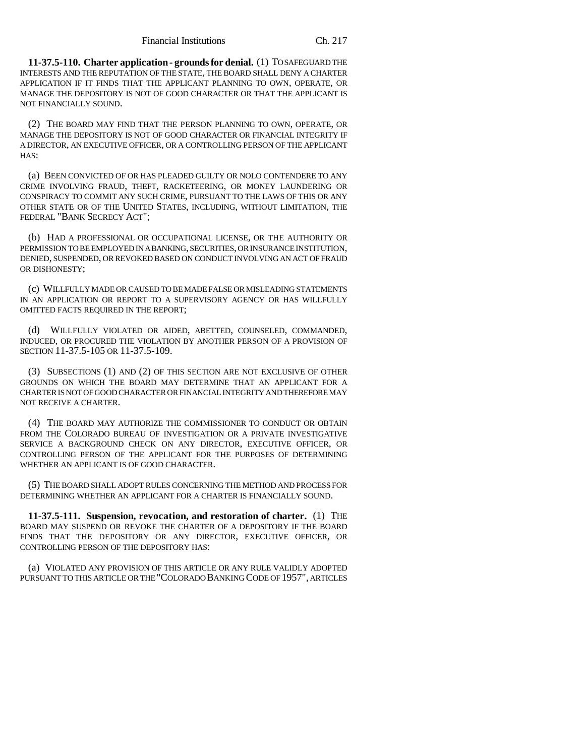**11-37.5-110. Charter application - grounds for denial.** (1) TO SAFEGUARD THE INTERESTS AND THE REPUTATION OF THE STATE, THE BOARD SHALL DENY A CHARTER APPLICATION IF IT FINDS THAT THE APPLICANT PLANNING TO OWN, OPERATE, OR MANAGE THE DEPOSITORY IS NOT OF GOOD CHARACTER OR THAT THE APPLICANT IS NOT FINANCIALLY SOUND.

(2) THE BOARD MAY FIND THAT THE PERSON PLANNING TO OWN, OPERATE, OR MANAGE THE DEPOSITORY IS NOT OF GOOD CHARACTER OR FINANCIAL INTEGRITY IF A DIRECTOR, AN EXECUTIVE OFFICER, OR A CONTROLLING PERSON OF THE APPLICANT HAS:

(a) BEEN CONVICTED OF OR HAS PLEADED GUILTY OR NOLO CONTENDERE TO ANY CRIME INVOLVING FRAUD, THEFT, RACKETEERING, OR MONEY LAUNDERING OR CONSPIRACY TO COMMIT ANY SUCH CRIME, PURSUANT TO THE LAWS OF THIS OR ANY OTHER STATE OR OF THE UNITED STATES, INCLUDING, WITHOUT LIMITATION, THE FEDERAL "BANK SECRECY ACT";

(b) HAD A PROFESSIONAL OR OCCUPATIONAL LICENSE, OR THE AUTHORITY OR PERMISSION TO BE EMPLOYED IN A BANKING, SECURITIES, OR INSURANCE INSTITUTION, DENIED, SUSPENDED, OR REVOKED BASED ON CONDUCT INVOLVING AN ACT OF FRAUD OR DISHONESTY;

(c) WILLFULLY MADE OR CAUSED TO BE MADE FALSE OR MISLEADING STATEMENTS IN AN APPLICATION OR REPORT TO A SUPERVISORY AGENCY OR HAS WILLFULLY OMITTED FACTS REQUIRED IN THE REPORT;

(d) WILLFULLY VIOLATED OR AIDED, ABETTED, COUNSELED, COMMANDED, INDUCED, OR PROCURED THE VIOLATION BY ANOTHER PERSON OF A PROVISION OF SECTION 11-37.5-105 OR 11-37.5-109.

(3) SUBSECTIONS (1) AND (2) OF THIS SECTION ARE NOT EXCLUSIVE OF OTHER GROUNDS ON WHICH THE BOARD MAY DETERMINE THAT AN APPLICANT FOR A CHARTER IS NOT OF GOOD CHARACTER OR FINANCIAL INTEGRITY AND THEREFORE MAY NOT RECEIVE A CHARTER.

(4) THE BOARD MAY AUTHORIZE THE COMMISSIONER TO CONDUCT OR OBTAIN FROM THE COLORADO BUREAU OF INVESTIGATION OR A PRIVATE INVESTIGATIVE SERVICE A BACKGROUND CHECK ON ANY DIRECTOR, EXECUTIVE OFFICER, OR CONTROLLING PERSON OF THE APPLICANT FOR THE PURPOSES OF DETERMINING WHETHER AN APPLICANT IS OF GOOD CHARACTER.

(5) THE BOARD SHALL ADOPT RULES CONCERNING THE METHOD AND PROCESS FOR DETERMINING WHETHER AN APPLICANT FOR A CHARTER IS FINANCIALLY SOUND.

**11-37.5-111. Suspension, revocation, and restoration of charter.** (1) THE BOARD MAY SUSPEND OR REVOKE THE CHARTER OF A DEPOSITORY IF THE BOARD FINDS THAT THE DEPOSITORY OR ANY DIRECTOR, EXECUTIVE OFFICER, OR CONTROLLING PERSON OF THE DEPOSITORY HAS:

(a) VIOLATED ANY PROVISION OF THIS ARTICLE OR ANY RULE VALIDLY ADOPTED PURSUANT TO THIS ARTICLE OR THE "COLORADO BANKING CODE OF 1957", ARTICLES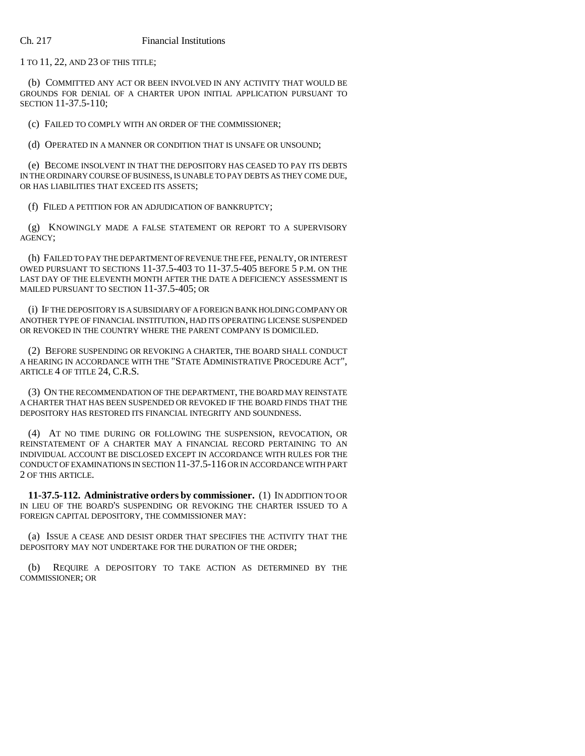1 TO 11, 22, AND 23 OF THIS TITLE;

(b) COMMITTED ANY ACT OR BEEN INVOLVED IN ANY ACTIVITY THAT WOULD BE GROUNDS FOR DENIAL OF A CHARTER UPON INITIAL APPLICATION PURSUANT TO SECTION 11-37.5-110;

(c) FAILED TO COMPLY WITH AN ORDER OF THE COMMISSIONER;

(d) OPERATED IN A MANNER OR CONDITION THAT IS UNSAFE OR UNSOUND;

(e) BECOME INSOLVENT IN THAT THE DEPOSITORY HAS CEASED TO PAY ITS DEBTS IN THE ORDINARY COURSE OF BUSINESS, IS UNABLE TO PAY DEBTS AS THEY COME DUE, OR HAS LIABILITIES THAT EXCEED ITS ASSETS;

(f) FILED A PETITION FOR AN ADJUDICATION OF BANKRUPTCY;

(g) KNOWINGLY MADE A FALSE STATEMENT OR REPORT TO A SUPERVISORY AGENCY;

(h) FAILED TO PAY THE DEPARTMENT OF REVENUE THE FEE, PENALTY, OR INTEREST OWED PURSUANT TO SECTIONS 11-37.5-403 TO 11-37.5-405 BEFORE 5 P.M. ON THE LAST DAY OF THE ELEVENTH MONTH AFTER THE DATE A DEFICIENCY ASSESSMENT IS MAILED PURSUANT TO SECTION 11-37.5-405; OR

(i) IF THE DEPOSITORY IS A SUBSIDIARY OF A FOREIGN BANK HOLDING COMPANY OR ANOTHER TYPE OF FINANCIAL INSTITUTION, HAD ITS OPERATING LICENSE SUSPENDED OR REVOKED IN THE COUNTRY WHERE THE PARENT COMPANY IS DOMICILED.

(2) BEFORE SUSPENDING OR REVOKING A CHARTER, THE BOARD SHALL CONDUCT A HEARING IN ACCORDANCE WITH THE "STATE ADMINISTRATIVE PROCEDURE ACT", ARTICLE 4 OF TITLE 24, C.R.S.

(3) ON THE RECOMMENDATION OF THE DEPARTMENT, THE BOARD MAY REINSTATE A CHARTER THAT HAS BEEN SUSPENDED OR REVOKED IF THE BOARD FINDS THAT THE DEPOSITORY HAS RESTORED ITS FINANCIAL INTEGRITY AND SOUNDNESS.

(4) AT NO TIME DURING OR FOLLOWING THE SUSPENSION, REVOCATION, OR REINSTATEMENT OF A CHARTER MAY A FINANCIAL RECORD PERTAINING TO AN INDIVIDUAL ACCOUNT BE DISCLOSED EXCEPT IN ACCORDANCE WITH RULES FOR THE CONDUCT OF EXAMINATIONS IN SECTION 11-37.5-116 OR IN ACCORDANCE WITH PART 2 OF THIS ARTICLE.

**11-37.5-112. Administrative orders by commissioner.** (1) IN ADDITION TO OR IN LIEU OF THE BOARD'S SUSPENDING OR REVOKING THE CHARTER ISSUED TO A FOREIGN CAPITAL DEPOSITORY, THE COMMISSIONER MAY:

(a) ISSUE A CEASE AND DESIST ORDER THAT SPECIFIES THE ACTIVITY THAT THE DEPOSITORY MAY NOT UNDERTAKE FOR THE DURATION OF THE ORDER;

(b) REQUIRE A DEPOSITORY TO TAKE ACTION AS DETERMINED BY THE COMMISSIONER; OR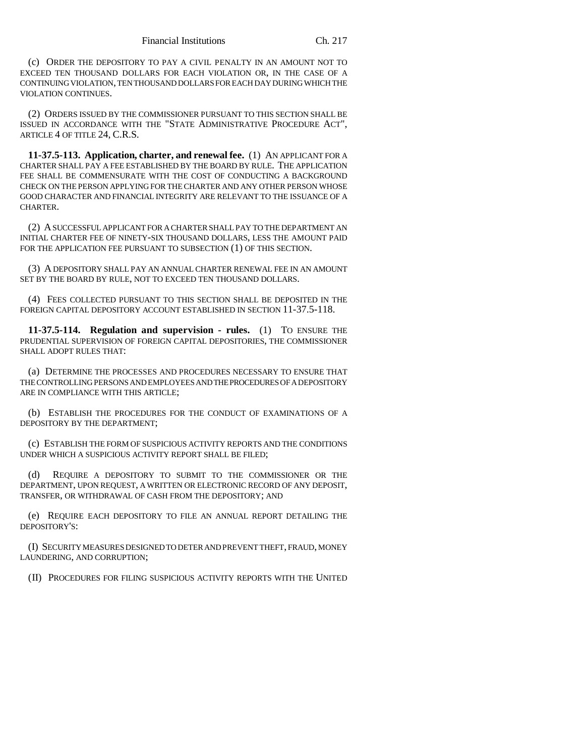(c) ORDER THE DEPOSITORY TO PAY A CIVIL PENALTY IN AN AMOUNT NOT TO EXCEED TEN THOUSAND DOLLARS FOR EACH VIOLATION OR, IN THE CASE OF A CONTINUING VIOLATION, TEN THOUSAND DOLLARS FOR EACH DAY DURING WHICH THE VIOLATION CONTINUES.

(2) ORDERS ISSUED BY THE COMMISSIONER PURSUANT TO THIS SECTION SHALL BE ISSUED IN ACCORDANCE WITH THE "STATE ADMINISTRATIVE PROCEDURE ACT", ARTICLE 4 OF TITLE 24, C.R.S.

**11-37.5-113. Application, charter, and renewal fee.** (1) AN APPLICANT FOR A CHARTER SHALL PAY A FEE ESTABLISHED BY THE BOARD BY RULE. THE APPLICATION FEE SHALL BE COMMENSURATE WITH THE COST OF CONDUCTING A BACKGROUND CHECK ON THE PERSON APPLYING FOR THE CHARTER AND ANY OTHER PERSON WHOSE GOOD CHARACTER AND FINANCIAL INTEGRITY ARE RELEVANT TO THE ISSUANCE OF A CHARTER.

(2) A SUCCESSFUL APPLICANT FOR A CHARTER SHALL PAY TO THE DEPARTMENT AN INITIAL CHARTER FEE OF NINETY-SIX THOUSAND DOLLARS, LESS THE AMOUNT PAID FOR THE APPLICATION FEE PURSUANT TO SUBSECTION (1) OF THIS SECTION.

(3) A DEPOSITORY SHALL PAY AN ANNUAL CHARTER RENEWAL FEE IN AN AMOUNT SET BY THE BOARD BY RULE, NOT TO EXCEED TEN THOUSAND DOLLARS.

(4) FEES COLLECTED PURSUANT TO THIS SECTION SHALL BE DEPOSITED IN THE FOREIGN CAPITAL DEPOSITORY ACCOUNT ESTABLISHED IN SECTION 11-37.5-118.

**11-37.5-114. Regulation and supervision - rules.** (1) TO ENSURE THE PRUDENTIAL SUPERVISION OF FOREIGN CAPITAL DEPOSITORIES, THE COMMISSIONER SHALL ADOPT RULES THAT:

(a) DETERMINE THE PROCESSES AND PROCEDURES NECESSARY TO ENSURE THAT THE CONTROLLING PERSONS AND EMPLOYEES AND THE PROCEDURES OF A DEPOSITORY ARE IN COMPLIANCE WITH THIS ARTICLE;

(b) ESTABLISH THE PROCEDURES FOR THE CONDUCT OF EXAMINATIONS OF A DEPOSITORY BY THE DEPARTMENT;

(c) ESTABLISH THE FORM OF SUSPICIOUS ACTIVITY REPORTS AND THE CONDITIONS UNDER WHICH A SUSPICIOUS ACTIVITY REPORT SHALL BE FILED;

(d) REQUIRE A DEPOSITORY TO SUBMIT TO THE COMMISSIONER OR THE DEPARTMENT, UPON REQUEST, A WRITTEN OR ELECTRONIC RECORD OF ANY DEPOSIT, TRANSFER, OR WITHDRAWAL OF CASH FROM THE DEPOSITORY; AND

(e) REQUIRE EACH DEPOSITORY TO FILE AN ANNUAL REPORT DETAILING THE DEPOSITORY'S:

(I) SECURITY MEASURES DESIGNED TO DETER AND PREVENT THEFT, FRAUD, MONEY LAUNDERING, AND CORRUPTION;

(II) PROCEDURES FOR FILING SUSPICIOUS ACTIVITY REPORTS WITH THE UNITED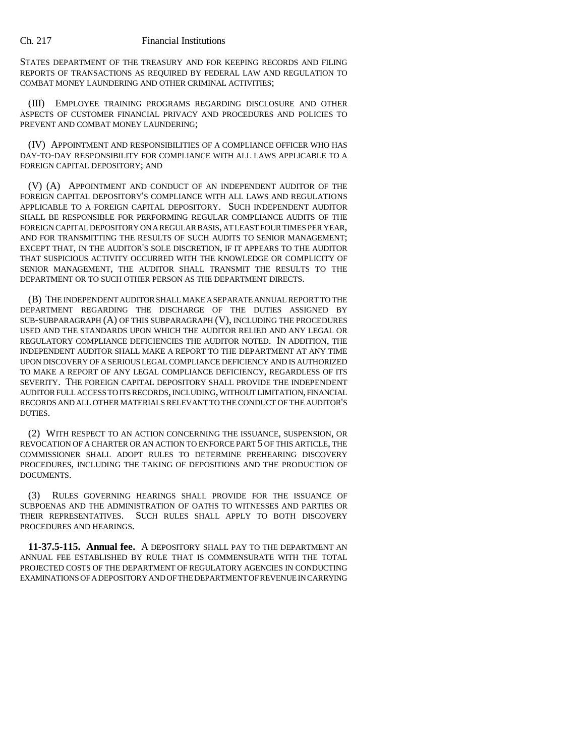STATES DEPARTMENT OF THE TREASURY AND FOR KEEPING RECORDS AND FILING REPORTS OF TRANSACTIONS AS REQUIRED BY FEDERAL LAW AND REGULATION TO COMBAT MONEY LAUNDERING AND OTHER CRIMINAL ACTIVITIES;

(III) EMPLOYEE TRAINING PROGRAMS REGARDING DISCLOSURE AND OTHER ASPECTS OF CUSTOMER FINANCIAL PRIVACY AND PROCEDURES AND POLICIES TO PREVENT AND COMBAT MONEY LAUNDERING;

(IV) APPOINTMENT AND RESPONSIBILITIES OF A COMPLIANCE OFFICER WHO HAS DAY-TO-DAY RESPONSIBILITY FOR COMPLIANCE WITH ALL LAWS APPLICABLE TO A FOREIGN CAPITAL DEPOSITORY; AND

(V) (A) APPOINTMENT AND CONDUCT OF AN INDEPENDENT AUDITOR OF THE FOREIGN CAPITAL DEPOSITORY'S COMPLIANCE WITH ALL LAWS AND REGULATIONS APPLICABLE TO A FOREIGN CAPITAL DEPOSITORY. SUCH INDEPENDENT AUDITOR SHALL BE RESPONSIBLE FOR PERFORMING REGULAR COMPLIANCE AUDITS OF THE FOREIGN CAPITAL DEPOSITORY ON A REGULAR BASIS, AT LEAST FOUR TIMES PER YEAR, AND FOR TRANSMITTING THE RESULTS OF SUCH AUDITS TO SENIOR MANAGEMENT; EXCEPT THAT, IN THE AUDITOR'S SOLE DISCRETION, IF IT APPEARS TO THE AUDITOR THAT SUSPICIOUS ACTIVITY OCCURRED WITH THE KNOWLEDGE OR COMPLICITY OF SENIOR MANAGEMENT, THE AUDITOR SHALL TRANSMIT THE RESULTS TO THE DEPARTMENT OR TO SUCH OTHER PERSON AS THE DEPARTMENT DIRECTS.

(B) THE INDEPENDENT AUDITOR SHALL MAKE A SEPARATE ANNUAL REPORT TO THE DEPARTMENT REGARDING THE DISCHARGE OF THE DUTIES ASSIGNED BY SUB-SUBPARAGRAPH (A) OF THIS SUBPARAGRAPH (V), INCLUDING THE PROCEDURES USED AND THE STANDARDS UPON WHICH THE AUDITOR RELIED AND ANY LEGAL OR REGULATORY COMPLIANCE DEFICIENCIES THE AUDITOR NOTED. IN ADDITION, THE INDEPENDENT AUDITOR SHALL MAKE A REPORT TO THE DEPARTMENT AT ANY TIME UPON DISCOVERY OF A SERIOUS LEGAL COMPLIANCE DEFICIENCY AND IS AUTHORIZED TO MAKE A REPORT OF ANY LEGAL COMPLIANCE DEFICIENCY, REGARDLESS OF ITS SEVERITY. THE FOREIGN CAPITAL DEPOSITORY SHALL PROVIDE THE INDEPENDENT AUDITOR FULL ACCESS TO ITS RECORDS, INCLUDING, WITHOUT LIMITATION, FINANCIAL RECORDS AND ALL OTHER MATERIALS RELEVANT TO THE CONDUCT OF THE AUDITOR'S DUTIES.

(2) WITH RESPECT TO AN ACTION CONCERNING THE ISSUANCE, SUSPENSION, OR REVOCATION OF A CHARTER OR AN ACTION TO ENFORCE PART 5 OF THIS ARTICLE, THE COMMISSIONER SHALL ADOPT RULES TO DETERMINE PREHEARING DISCOVERY PROCEDURES, INCLUDING THE TAKING OF DEPOSITIONS AND THE PRODUCTION OF DOCUMENTS.

(3) RULES GOVERNING HEARINGS SHALL PROVIDE FOR THE ISSUANCE OF SUBPOENAS AND THE ADMINISTRATION OF OATHS TO WITNESSES AND PARTIES OR THEIR REPRESENTATIVES. SUCH RULES SHALL APPLY TO BOTH DISCOVERY PROCEDURES AND HEARINGS.

**11-37.5-115. Annual fee.** A DEPOSITORY SHALL PAY TO THE DEPARTMENT AN ANNUAL FEE ESTABLISHED BY RULE THAT IS COMMENSURATE WITH THE TOTAL PROJECTED COSTS OF THE DEPARTMENT OF REGULATORY AGENCIES IN CONDUCTING EXAMINATIONS OF A DEPOSITORY AND OF THE DEPARTMENT OF REVENUE IN CARRYING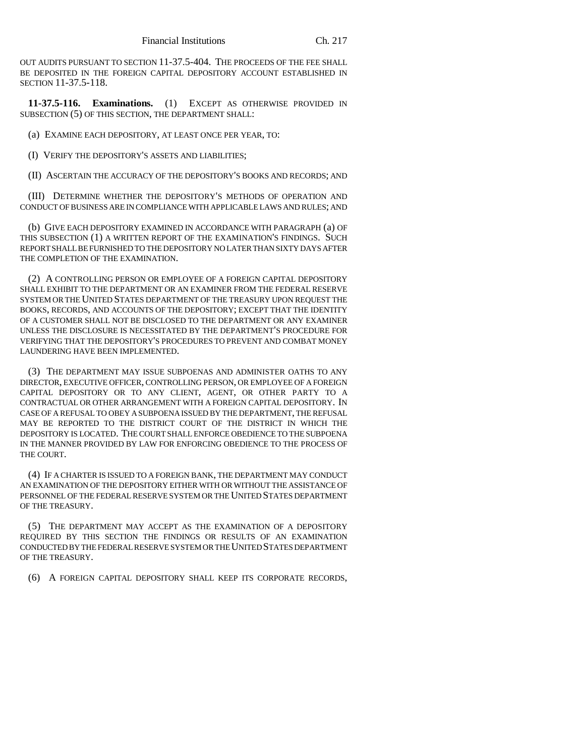OUT AUDITS PURSUANT TO SECTION 11-37.5-404. THE PROCEEDS OF THE FEE SHALL BE DEPOSITED IN THE FOREIGN CAPITAL DEPOSITORY ACCOUNT ESTABLISHED IN SECTION 11-37.5-118.

**11-37.5-116. Examinations.** (1) EXCEPT AS OTHERWISE PROVIDED IN SUBSECTION (5) OF THIS SECTION, THE DEPARTMENT SHALL:

(a) EXAMINE EACH DEPOSITORY, AT LEAST ONCE PER YEAR, TO:

(I) VERIFY THE DEPOSITORY'S ASSETS AND LIABILITIES;

(II) ASCERTAIN THE ACCURACY OF THE DEPOSITORY'S BOOKS AND RECORDS; AND

(III) DETERMINE WHETHER THE DEPOSITORY'S METHODS OF OPERATION AND CONDUCT OF BUSINESS ARE IN COMPLIANCE WITH APPLICABLE LAWS AND RULES; AND

(b) GIVE EACH DEPOSITORY EXAMINED IN ACCORDANCE WITH PARAGRAPH (a) OF THIS SUBSECTION (1) A WRITTEN REPORT OF THE EXAMINATION'S FINDINGS. SUCH REPORT SHALL BE FURNISHED TO THE DEPOSITORY NO LATER THAN SIXTY DAYS AFTER THE COMPLETION OF THE EXAMINATION.

(2) A CONTROLLING PERSON OR EMPLOYEE OF A FOREIGN CAPITAL DEPOSITORY SHALL EXHIBIT TO THE DEPARTMENT OR AN EXAMINER FROM THE FEDERAL RESERVE SYSTEM OR THE UNITED STATES DEPARTMENT OF THE TREASURY UPON REQUEST THE BOOKS, RECORDS, AND ACCOUNTS OF THE DEPOSITORY; EXCEPT THAT THE IDENTITY OF A CUSTOMER SHALL NOT BE DISCLOSED TO THE DEPARTMENT OR ANY EXAMINER UNLESS THE DISCLOSURE IS NECESSITATED BY THE DEPARTMENT'S PROCEDURE FOR VERIFYING THAT THE DEPOSITORY'S PROCEDURES TO PREVENT AND COMBAT MONEY LAUNDERING HAVE BEEN IMPLEMENTED.

(3) THE DEPARTMENT MAY ISSUE SUBPOENAS AND ADMINISTER OATHS TO ANY DIRECTOR, EXECUTIVE OFFICER, CONTROLLING PERSON, OR EMPLOYEE OF A FOREIGN CAPITAL DEPOSITORY OR TO ANY CLIENT, AGENT, OR OTHER PARTY TO A CONTRACTUAL OR OTHER ARRANGEMENT WITH A FOREIGN CAPITAL DEPOSITORY. IN CASE OF A REFUSAL TO OBEY A SUBPOENA ISSUED BY THE DEPARTMENT, THE REFUSAL MAY BE REPORTED TO THE DISTRICT COURT OF THE DISTRICT IN WHICH THE DEPOSITORY IS LOCATED. THE COURT SHALL ENFORCE OBEDIENCE TO THE SUBPOENA IN THE MANNER PROVIDED BY LAW FOR ENFORCING OBEDIENCE TO THE PROCESS OF THE COURT.

(4) IF A CHARTER IS ISSUED TO A FOREIGN BANK, THE DEPARTMENT MAY CONDUCT AN EXAMINATION OF THE DEPOSITORY EITHER WITH OR WITHOUT THE ASSISTANCE OF PERSONNEL OF THE FEDERAL RESERVE SYSTEM OR THE UNITED STATES DEPARTMENT OF THE TREASURY.

(5) THE DEPARTMENT MAY ACCEPT AS THE EXAMINATION OF A DEPOSITORY REQUIRED BY THIS SECTION THE FINDINGS OR RESULTS OF AN EXAMINATION CONDUCTED BY THE FEDERAL RESERVE SYSTEM OR THE UNITED STATES DEPARTMENT OF THE TREASURY.

(6) A FOREIGN CAPITAL DEPOSITORY SHALL KEEP ITS CORPORATE RECORDS,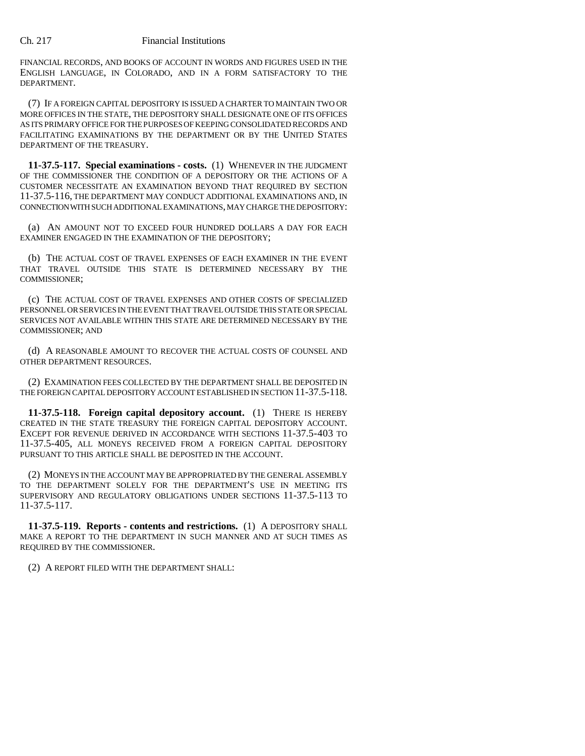FINANCIAL RECORDS, AND BOOKS OF ACCOUNT IN WORDS AND FIGURES USED IN THE ENGLISH LANGUAGE, IN COLORADO, AND IN A FORM SATISFACTORY TO THE DEPARTMENT.

(7) IF A FOREIGN CAPITAL DEPOSITORY IS ISSUED A CHARTER TO MAINTAIN TWO OR MORE OFFICES IN THE STATE, THE DEPOSITORY SHALL DESIGNATE ONE OF ITS OFFICES AS ITS PRIMARY OFFICE FOR THE PURPOSES OF KEEPING CONSOLIDATED RECORDS AND FACILITATING EXAMINATIONS BY THE DEPARTMENT OR BY THE UNITED STATES DEPARTMENT OF THE TREASURY.

**11-37.5-117. Special examinations - costs.** (1) WHENEVER IN THE JUDGMENT OF THE COMMISSIONER THE CONDITION OF A DEPOSITORY OR THE ACTIONS OF A CUSTOMER NECESSITATE AN EXAMINATION BEYOND THAT REQUIRED BY SECTION 11-37.5-116, THE DEPARTMENT MAY CONDUCT ADDITIONAL EXAMINATIONS AND, IN CONNECTION WITH SUCH ADDITIONAL EXAMINATIONS, MAY CHARGE THE DEPOSITORY:

(a) AN AMOUNT NOT TO EXCEED FOUR HUNDRED DOLLARS A DAY FOR EACH EXAMINER ENGAGED IN THE EXAMINATION OF THE DEPOSITORY;

(b) THE ACTUAL COST OF TRAVEL EXPENSES OF EACH EXAMINER IN THE EVENT THAT TRAVEL OUTSIDE THIS STATE IS DETERMINED NECESSARY BY THE COMMISSIONER;

(c) THE ACTUAL COST OF TRAVEL EXPENSES AND OTHER COSTS OF SPECIALIZED PERSONNEL OR SERVICES IN THE EVENT THAT TRAVEL OUTSIDE THIS STATE OR SPECIAL SERVICES NOT AVAILABLE WITHIN THIS STATE ARE DETERMINED NECESSARY BY THE COMMISSIONER; AND

(d) A REASONABLE AMOUNT TO RECOVER THE ACTUAL COSTS OF COUNSEL AND OTHER DEPARTMENT RESOURCES.

(2) EXAMINATION FEES COLLECTED BY THE DEPARTMENT SHALL BE DEPOSITED IN THE FOREIGN CAPITAL DEPOSITORY ACCOUNT ESTABLISHED IN SECTION 11-37.5-118.

**11-37.5-118. Foreign capital depository account.** (1) THERE IS HEREBY CREATED IN THE STATE TREASURY THE FOREIGN CAPITAL DEPOSITORY ACCOUNT. EXCEPT FOR REVENUE DERIVED IN ACCORDANCE WITH SECTIONS 11-37.5-403 TO 11-37.5-405, ALL MONEYS RECEIVED FROM A FOREIGN CAPITAL DEPOSITORY PURSUANT TO THIS ARTICLE SHALL BE DEPOSITED IN THE ACCOUNT.

(2) MONEYS IN THE ACCOUNT MAY BE APPROPRIATED BY THE GENERAL ASSEMBLY TO THE DEPARTMENT SOLELY FOR THE DEPARTMENT'S USE IN MEETING ITS SUPERVISORY AND REGULATORY OBLIGATIONS UNDER SECTIONS 11-37.5-113 TO 11-37.5-117.

**11-37.5-119. Reports - contents and restrictions.** (1) A DEPOSITORY SHALL MAKE A REPORT TO THE DEPARTMENT IN SUCH MANNER AND AT SUCH TIMES AS REQUIRED BY THE COMMISSIONER.

(2) A REPORT FILED WITH THE DEPARTMENT SHALL: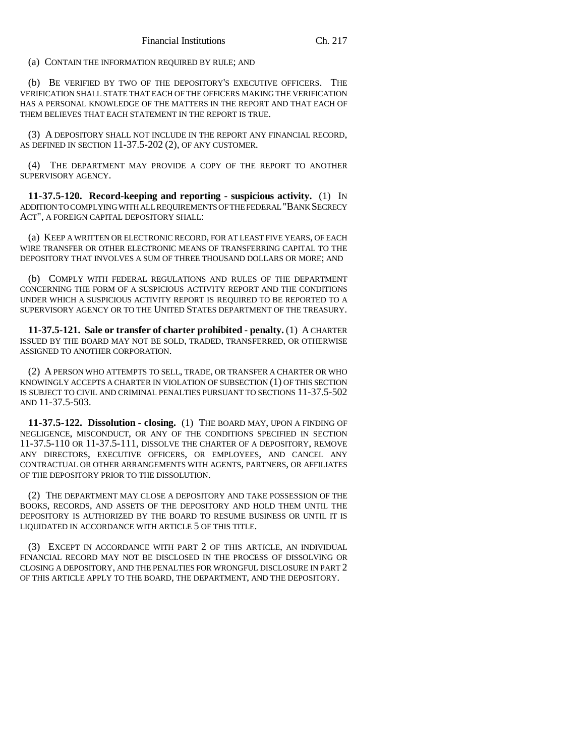(a) CONTAIN THE INFORMATION REQUIRED BY RULE; AND

(b) BE VERIFIED BY TWO OF THE DEPOSITORY'S EXECUTIVE OFFICERS. THE VERIFICATION SHALL STATE THAT EACH OF THE OFFICERS MAKING THE VERIFICATION HAS A PERSONAL KNOWLEDGE OF THE MATTERS IN THE REPORT AND THAT EACH OF THEM BELIEVES THAT EACH STATEMENT IN THE REPORT IS TRUE.

(3) A DEPOSITORY SHALL NOT INCLUDE IN THE REPORT ANY FINANCIAL RECORD, AS DEFINED IN SECTION 11-37.5-202 (2), OF ANY CUSTOMER.

(4) THE DEPARTMENT MAY PROVIDE A COPY OF THE REPORT TO ANOTHER SUPERVISORY AGENCY.

**11-37.5-120. Record-keeping and reporting - suspicious activity.** (1) IN ADDITION TO COMPLYING WITH ALL REQUIREMENTS OF THE FEDERAL "BANK SECRECY ACT", A FOREIGN CAPITAL DEPOSITORY SHALL:

(a) KEEP A WRITTEN OR ELECTRONIC RECORD, FOR AT LEAST FIVE YEARS, OF EACH WIRE TRANSFER OR OTHER ELECTRONIC MEANS OF TRANSFERRING CAPITAL TO THE DEPOSITORY THAT INVOLVES A SUM OF THREE THOUSAND DOLLARS OR MORE; AND

(b) COMPLY WITH FEDERAL REGULATIONS AND RULES OF THE DEPARTMENT CONCERNING THE FORM OF A SUSPICIOUS ACTIVITY REPORT AND THE CONDITIONS UNDER WHICH A SUSPICIOUS ACTIVITY REPORT IS REQUIRED TO BE REPORTED TO A SUPERVISORY AGENCY OR TO THE UNITED STATES DEPARTMENT OF THE TREASURY.

**11-37.5-121. Sale or transfer of charter prohibited - penalty.** (1) A CHARTER ISSUED BY THE BOARD MAY NOT BE SOLD, TRADED, TRANSFERRED, OR OTHERWISE ASSIGNED TO ANOTHER CORPORATION.

(2) A PERSON WHO ATTEMPTS TO SELL, TRADE, OR TRANSFER A CHARTER OR WHO KNOWINGLY ACCEPTS A CHARTER IN VIOLATION OF SUBSECTION (1) OF THIS SECTION IS SUBJECT TO CIVIL AND CRIMINAL PENALTIES PURSUANT TO SECTIONS 11-37.5-502 AND 11-37.5-503.

**11-37.5-122. Dissolution - closing.** (1) THE BOARD MAY, UPON A FINDING OF NEGLIGENCE, MISCONDUCT, OR ANY OF THE CONDITIONS SPECIFIED IN SECTION 11-37.5-110 OR 11-37.5-111, DISSOLVE THE CHARTER OF A DEPOSITORY, REMOVE ANY DIRECTORS, EXECUTIVE OFFICERS, OR EMPLOYEES, AND CANCEL ANY CONTRACTUAL OR OTHER ARRANGEMENTS WITH AGENTS, PARTNERS, OR AFFILIATES OF THE DEPOSITORY PRIOR TO THE DISSOLUTION.

(2) THE DEPARTMENT MAY CLOSE A DEPOSITORY AND TAKE POSSESSION OF THE BOOKS, RECORDS, AND ASSETS OF THE DEPOSITORY AND HOLD THEM UNTIL THE DEPOSITORY IS AUTHORIZED BY THE BOARD TO RESUME BUSINESS OR UNTIL IT IS LIQUIDATED IN ACCORDANCE WITH ARTICLE 5 OF THIS TITLE.

(3) EXCEPT IN ACCORDANCE WITH PART 2 OF THIS ARTICLE, AN INDIVIDUAL FINANCIAL RECORD MAY NOT BE DISCLOSED IN THE PROCESS OF DISSOLVING OR CLOSING A DEPOSITORY, AND THE PENALTIES FOR WRONGFUL DISCLOSURE IN PART 2 OF THIS ARTICLE APPLY TO THE BOARD, THE DEPARTMENT, AND THE DEPOSITORY.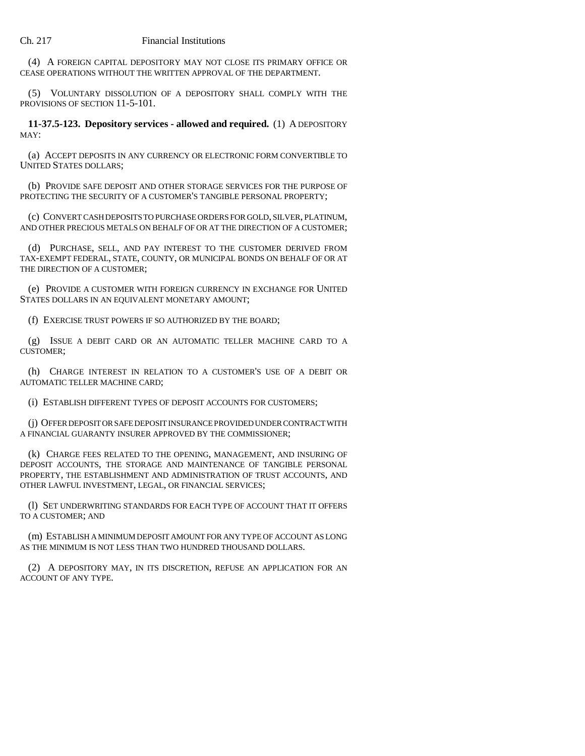(4) A FOREIGN CAPITAL DEPOSITORY MAY NOT CLOSE ITS PRIMARY OFFICE OR CEASE OPERATIONS WITHOUT THE WRITTEN APPROVAL OF THE DEPARTMENT.

(5) VOLUNTARY DISSOLUTION OF A DEPOSITORY SHALL COMPLY WITH THE PROVISIONS OF SECTION 11-5-101.

**11-37.5-123. Depository services - allowed and required.** (1) A DEPOSITORY MAY:

(a) ACCEPT DEPOSITS IN ANY CURRENCY OR ELECTRONIC FORM CONVERTIBLE TO UNITED STATES DOLLARS;

(b) PROVIDE SAFE DEPOSIT AND OTHER STORAGE SERVICES FOR THE PURPOSE OF PROTECTING THE SECURITY OF A CUSTOMER'S TANGIBLE PERSONAL PROPERTY;

(c) CONVERT CASH DEPOSITS TO PURCHASE ORDERS FOR GOLD, SILVER, PLATINUM, AND OTHER PRECIOUS METALS ON BEHALF OF OR AT THE DIRECTION OF A CUSTOMER;

(d) PURCHASE, SELL, AND PAY INTEREST TO THE CUSTOMER DERIVED FROM TAX-EXEMPT FEDERAL, STATE, COUNTY, OR MUNICIPAL BONDS ON BEHALF OF OR AT THE DIRECTION OF A CUSTOMER;

(e) PROVIDE A CUSTOMER WITH FOREIGN CURRENCY IN EXCHANGE FOR UNITED STATES DOLLARS IN AN EQUIVALENT MONETARY AMOUNT;

(f) EXERCISE TRUST POWERS IF SO AUTHORIZED BY THE BOARD;

(g) ISSUE A DEBIT CARD OR AN AUTOMATIC TELLER MACHINE CARD TO A CUSTOMER;

(h) CHARGE INTEREST IN RELATION TO A CUSTOMER'S USE OF A DEBIT OR AUTOMATIC TELLER MACHINE CARD;

(i) ESTABLISH DIFFERENT TYPES OF DEPOSIT ACCOUNTS FOR CUSTOMERS;

(j) OFFER DEPOSIT OR SAFE DEPOSIT INSURANCE PROVIDED UNDER CONTRACT WITH A FINANCIAL GUARANTY INSURER APPROVED BY THE COMMISSIONER;

(k) CHARGE FEES RELATED TO THE OPENING, MANAGEMENT, AND INSURING OF DEPOSIT ACCOUNTS, THE STORAGE AND MAINTENANCE OF TANGIBLE PERSONAL PROPERTY, THE ESTABLISHMENT AND ADMINISTRATION OF TRUST ACCOUNTS, AND OTHER LAWFUL INVESTMENT, LEGAL, OR FINANCIAL SERVICES;

(l) SET UNDERWRITING STANDARDS FOR EACH TYPE OF ACCOUNT THAT IT OFFERS TO A CUSTOMER; AND

(m) ESTABLISH A MINIMUM DEPOSIT AMOUNT FOR ANY TYPE OF ACCOUNT AS LONG AS THE MINIMUM IS NOT LESS THAN TWO HUNDRED THOUSAND DOLLARS.

(2) A DEPOSITORY MAY, IN ITS DISCRETION, REFUSE AN APPLICATION FOR AN ACCOUNT OF ANY TYPE.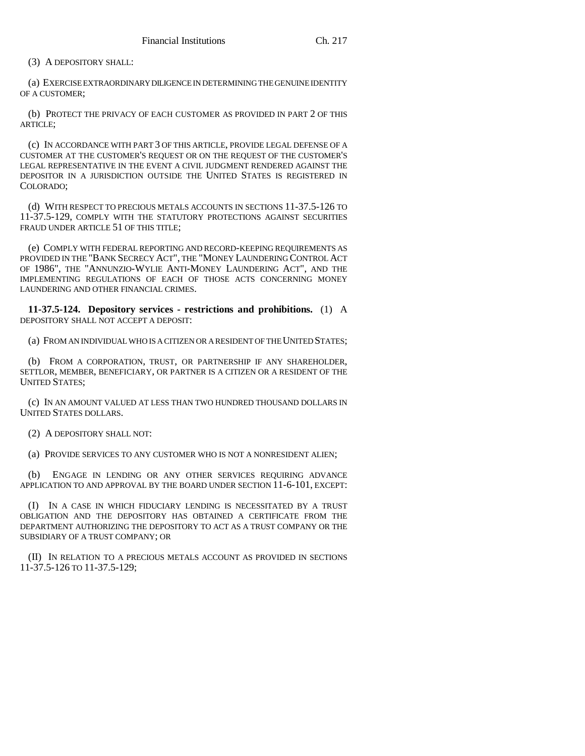(3) A DEPOSITORY SHALL:

(a) EXERCISE EXTRAORDINARY DILIGENCE IN DETERMINING THE GENUINE IDENTITY OF A CUSTOMER;

(b) PROTECT THE PRIVACY OF EACH CUSTOMER AS PROVIDED IN PART 2 OF THIS ARTICLE;

(c) IN ACCORDANCE WITH PART 3 OF THIS ARTICLE, PROVIDE LEGAL DEFENSE OF A CUSTOMER AT THE CUSTOMER'S REQUEST OR ON THE REQUEST OF THE CUSTOMER'S LEGAL REPRESENTATIVE IN THE EVENT A CIVIL JUDGMENT RENDERED AGAINST THE DEPOSITOR IN A JURISDICTION OUTSIDE THE UNITED STATES IS REGISTERED IN COLORADO;

(d) WITH RESPECT TO PRECIOUS METALS ACCOUNTS IN SECTIONS 11-37.5-126 TO 11-37.5-129, COMPLY WITH THE STATUTORY PROTECTIONS AGAINST SECURITIES FRAUD UNDER ARTICLE 51 OF THIS TITLE;

(e) COMPLY WITH FEDERAL REPORTING AND RECORD-KEEPING REQUIREMENTS AS PROVIDED IN THE "BANK SECRECY ACT", THE "MONEY LAUNDERING CONTROL ACT OF 1986", THE "ANNUNZIO-WYLIE ANTI-MONEY LAUNDERING ACT", AND THE IMPLEMENTING REGULATIONS OF EACH OF THOSE ACTS CONCERNING MONEY LAUNDERING AND OTHER FINANCIAL CRIMES.

**11-37.5-124. Depository services - restrictions and prohibitions.** (1) A DEPOSITORY SHALL NOT ACCEPT A DEPOSIT:

(a) FROM AN INDIVIDUAL WHO IS A CITIZEN OR A RESIDENT OF THE UNITED STATES;

(b) FROM A CORPORATION, TRUST, OR PARTNERSHIP IF ANY SHAREHOLDER, SETTLOR, MEMBER, BENEFICIARY, OR PARTNER IS A CITIZEN OR A RESIDENT OF THE UNITED STATES;

(c) IN AN AMOUNT VALUED AT LESS THAN TWO HUNDRED THOUSAND DOLLARS IN UNITED STATES DOLLARS.

(2) A DEPOSITORY SHALL NOT:

(a) PROVIDE SERVICES TO ANY CUSTOMER WHO IS NOT A NONRESIDENT ALIEN;

(b) ENGAGE IN LENDING OR ANY OTHER SERVICES REQUIRING ADVANCE APPLICATION TO AND APPROVAL BY THE BOARD UNDER SECTION 11-6-101, EXCEPT:

(I) IN A CASE IN WHICH FIDUCIARY LENDING IS NECESSITATED BY A TRUST OBLIGATION AND THE DEPOSITORY HAS OBTAINED A CERTIFICATE FROM THE DEPARTMENT AUTHORIZING THE DEPOSITORY TO ACT AS A TRUST COMPANY OR THE SUBSIDIARY OF A TRUST COMPANY; OR

(II) IN RELATION TO A PRECIOUS METALS ACCOUNT AS PROVIDED IN SECTIONS 11-37.5-126 TO 11-37.5-129;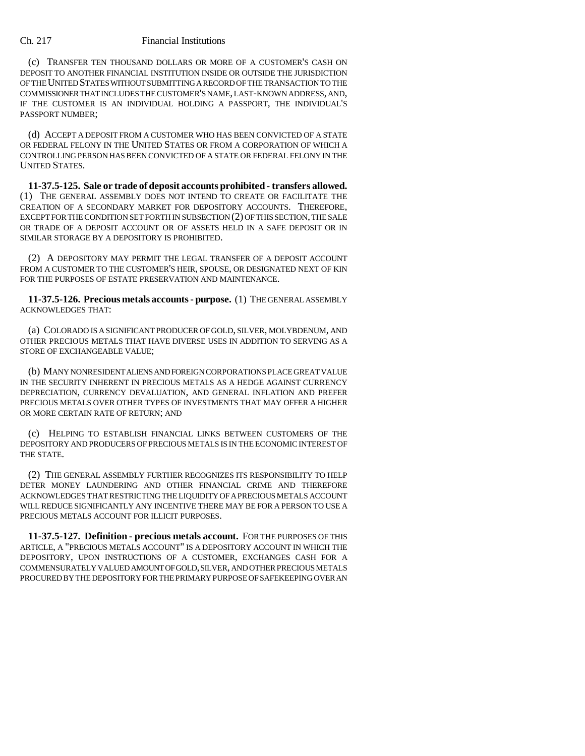(c) TRANSFER TEN THOUSAND DOLLARS OR MORE OF A CUSTOMER'S CASH ON DEPOSIT TO ANOTHER FINANCIAL INSTITUTION INSIDE OR OUTSIDE THE JURISDICTION OF THE UNITED STATES WITHOUT SUBMITTING A RECORD OF THE TRANSACTION TO THE COMMISSIONER THAT INCLUDES THE CUSTOMER'S NAME, LAST-KNOWN ADDRESS, AND, IF THE CUSTOMER IS AN INDIVIDUAL HOLDING A PASSPORT, THE INDIVIDUAL'S PASSPORT NUMBER;

(d) ACCEPT A DEPOSIT FROM A CUSTOMER WHO HAS BEEN CONVICTED OF A STATE OR FEDERAL FELONY IN THE UNITED STATES OR FROM A CORPORATION OF WHICH A CONTROLLING PERSON HAS BEEN CONVICTED OF A STATE OR FEDERAL FELONY IN THE UNITED STATES.

**11-37.5-125. Sale or trade of deposit accounts prohibited - transfers allowed.** (1) THE GENERAL ASSEMBLY DOES NOT INTEND TO CREATE OR FACILITATE THE CREATION OF A SECONDARY MARKET FOR DEPOSITORY ACCOUNTS. THEREFORE, EXCEPT FOR THE CONDITION SET FORTH IN SUBSECTION (2) OF THIS SECTION, THE SALE OR TRADE OF A DEPOSIT ACCOUNT OR OF ASSETS HELD IN A SAFE DEPOSIT OR IN SIMILAR STORAGE BY A DEPOSITORY IS PROHIBITED.

(2) A DEPOSITORY MAY PERMIT THE LEGAL TRANSFER OF A DEPOSIT ACCOUNT FROM A CUSTOMER TO THE CUSTOMER'S HEIR, SPOUSE, OR DESIGNATED NEXT OF KIN FOR THE PURPOSES OF ESTATE PRESERVATION AND MAINTENANCE.

**11-37.5-126. Precious metals accounts - purpose.** (1) THE GENERAL ASSEMBLY ACKNOWLEDGES THAT:

(a) COLORADO IS A SIGNIFICANT PRODUCER OF GOLD, SILVER, MOLYBDENUM, AND OTHER PRECIOUS METALS THAT HAVE DIVERSE USES IN ADDITION TO SERVING AS A STORE OF EXCHANGEABLE VALUE;

(b) MANY NONRESIDENT ALIENS AND FOREIGN CORPORATIONS PLACE GREAT VALUE IN THE SECURITY INHERENT IN PRECIOUS METALS AS A HEDGE AGAINST CURRENCY DEPRECIATION, CURRENCY DEVALUATION, AND GENERAL INFLATION AND PREFER PRECIOUS METALS OVER OTHER TYPES OF INVESTMENTS THAT MAY OFFER A HIGHER OR MORE CERTAIN RATE OF RETURN; AND

(c) HELPING TO ESTABLISH FINANCIAL LINKS BETWEEN CUSTOMERS OF THE DEPOSITORY AND PRODUCERS OF PRECIOUS METALS IS IN THE ECONOMIC INTEREST OF THE STATE.

(2) THE GENERAL ASSEMBLY FURTHER RECOGNIZES ITS RESPONSIBILITY TO HELP DETER MONEY LAUNDERING AND OTHER FINANCIAL CRIME AND THEREFORE ACKNOWLEDGES THAT RESTRICTING THE LIQUIDITY OF A PRECIOUS METALS ACCOUNT WILL REDUCE SIGNIFICANTLY ANY INCENTIVE THERE MAY BE FOR A PERSON TO USE A PRECIOUS METALS ACCOUNT FOR ILLICIT PURPOSES.

**11-37.5-127. Definition - precious metals account.** FOR THE PURPOSES OF THIS ARTICLE, A "PRECIOUS METALS ACCOUNT" IS A DEPOSITORY ACCOUNT IN WHICH THE DEPOSITORY, UPON INSTRUCTIONS OF A CUSTOMER, EXCHANGES CASH FOR A COMMENSURATELY VALUED AMOUNT OF GOLD, SILVER, AND OTHER PRECIOUS METALS PROCURED BY THE DEPOSITORY FOR THE PRIMARY PURPOSE OF SAFEKEEPING OVER AN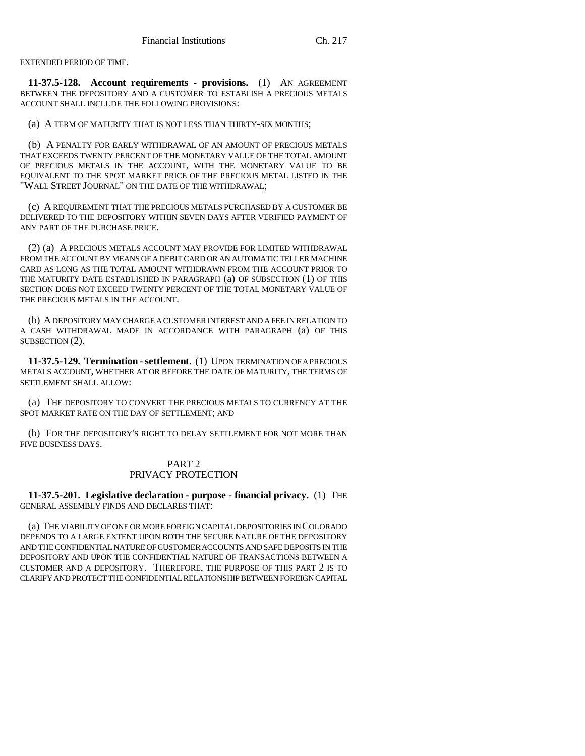EXTENDED PERIOD OF TIME.

**11-37.5-128. Account requirements - provisions.** (1) AN AGREEMENT BETWEEN THE DEPOSITORY AND A CUSTOMER TO ESTABLISH A PRECIOUS METALS ACCOUNT SHALL INCLUDE THE FOLLOWING PROVISIONS:

(a) A TERM OF MATURITY THAT IS NOT LESS THAN THIRTY-SIX MONTHS;

(b) A PENALTY FOR EARLY WITHDRAWAL OF AN AMOUNT OF PRECIOUS METALS THAT EXCEEDS TWENTY PERCENT OF THE MONETARY VALUE OF THE TOTAL AMOUNT OF PRECIOUS METALS IN THE ACCOUNT, WITH THE MONETARY VALUE TO BE EQUIVALENT TO THE SPOT MARKET PRICE OF THE PRECIOUS METAL LISTED IN THE "WALL STREET JOURNAL" ON THE DATE OF THE WITHDRAWAL;

(c) A REQUIREMENT THAT THE PRECIOUS METALS PURCHASED BY A CUSTOMER BE DELIVERED TO THE DEPOSITORY WITHIN SEVEN DAYS AFTER VERIFIED PAYMENT OF ANY PART OF THE PURCHASE PRICE.

(2) (a) A PRECIOUS METALS ACCOUNT MAY PROVIDE FOR LIMITED WITHDRAWAL FROM THE ACCOUNT BY MEANS OF A DEBIT CARD OR AN AUTOMATIC TELLER MACHINE CARD AS LONG AS THE TOTAL AMOUNT WITHDRAWN FROM THE ACCOUNT PRIOR TO THE MATURITY DATE ESTABLISHED IN PARAGRAPH (a) OF SUBSECTION (1) OF THIS SECTION DOES NOT EXCEED TWENTY PERCENT OF THE TOTAL MONETARY VALUE OF THE PRECIOUS METALS IN THE ACCOUNT.

(b) A DEPOSITORY MAY CHARGE A CUSTOMER INTEREST AND A FEE IN RELATION TO A CASH WITHDRAWAL MADE IN ACCORDANCE WITH PARAGRAPH (a) OF THIS SUBSECTION (2).

**11-37.5-129. Termination - settlement.** (1) UPON TERMINATION OF A PRECIOUS METALS ACCOUNT, WHETHER AT OR BEFORE THE DATE OF MATURITY, THE TERMS OF SETTLEMENT SHALL ALLOW:

(a) THE DEPOSITORY TO CONVERT THE PRECIOUS METALS TO CURRENCY AT THE SPOT MARKET RATE ON THE DAY OF SETTLEMENT; AND

(b) FOR THE DEPOSITORY'S RIGHT TO DELAY SETTLEMENT FOR NOT MORE THAN FIVE BUSINESS DAYS.

## PART 2 PRIVACY PROTECTION

**11-37.5-201. Legislative declaration - purpose - financial privacy.** (1) THE GENERAL ASSEMBLY FINDS AND DECLARES THAT:

(a) THE VIABILITY OF ONE OR MORE FOREIGN CAPITAL DEPOSITORIES IN COLORADO DEPENDS TO A LARGE EXTENT UPON BOTH THE SECURE NATURE OF THE DEPOSITORY AND THE CONFIDENTIAL NATURE OF CUSTOMER ACCOUNTS AND SAFE DEPOSITS IN THE DEPOSITORY AND UPON THE CONFIDENTIAL NATURE OF TRANSACTIONS BETWEEN A CUSTOMER AND A DEPOSITORY. THEREFORE, THE PURPOSE OF THIS PART 2 IS TO CLARIFY AND PROTECT THE CONFIDENTIAL RELATIONSHIP BETWEEN FOREIGN CAPITAL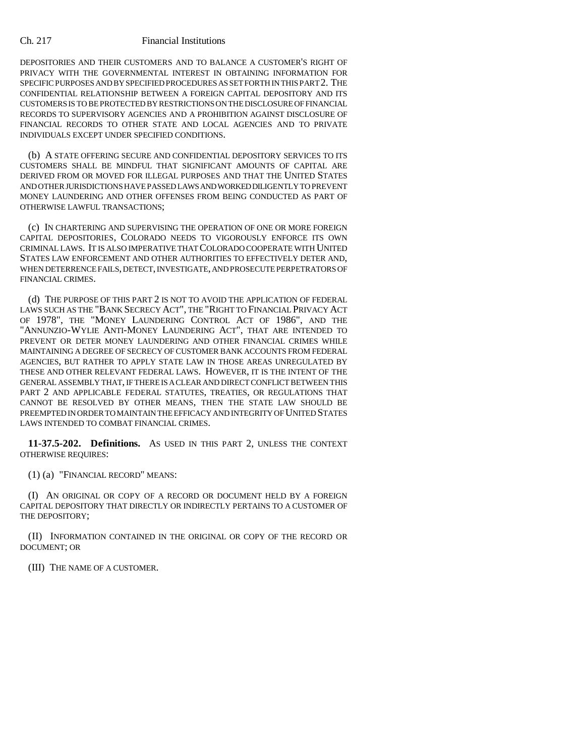DEPOSITORIES AND THEIR CUSTOMERS AND TO BALANCE A CUSTOMER'S RIGHT OF PRIVACY WITH THE GOVERNMENTAL INTEREST IN OBTAINING INFORMATION FOR SPECIFIC PURPOSES AND BY SPECIFIED PROCEDURES AS SET FORTH IN THIS PART 2. THE CONFIDENTIAL RELATIONSHIP BETWEEN A FOREIGN CAPITAL DEPOSITORY AND ITS CUSTOMERS IS TO BE PROTECTED BY RESTRICTIONS ON THE DISCLOSURE OF FINANCIAL RECORDS TO SUPERVISORY AGENCIES AND A PROHIBITION AGAINST DISCLOSURE OF FINANCIAL RECORDS TO OTHER STATE AND LOCAL AGENCIES AND TO PRIVATE INDIVIDUALS EXCEPT UNDER SPECIFIED CONDITIONS.

(b) A STATE OFFERING SECURE AND CONFIDENTIAL DEPOSITORY SERVICES TO ITS CUSTOMERS SHALL BE MINDFUL THAT SIGNIFICANT AMOUNTS OF CAPITAL ARE DERIVED FROM OR MOVED FOR ILLEGAL PURPOSES AND THAT THE UNITED STATES AND OTHER JURISDICTIONS HAVE PASSED LAWS AND WORKED DILIGENTLY TO PREVENT MONEY LAUNDERING AND OTHER OFFENSES FROM BEING CONDUCTED AS PART OF OTHERWISE LAWFUL TRANSACTIONS;

(c) IN CHARTERING AND SUPERVISING THE OPERATION OF ONE OR MORE FOREIGN CAPITAL DEPOSITORIES, COLORADO NEEDS TO VIGOROUSLY ENFORCE ITS OWN CRIMINAL LAWS. IT IS ALSO IMPERATIVE THAT COLORADO COOPERATE WITH UNITED STATES LAW ENFORCEMENT AND OTHER AUTHORITIES TO EFFECTIVELY DETER AND, WHEN DETERRENCE FAILS, DETECT, INVESTIGATE, AND PROSECUTE PERPETRATORS OF FINANCIAL CRIMES.

(d) THE PURPOSE OF THIS PART 2 IS NOT TO AVOID THE APPLICATION OF FEDERAL LAWS SUCH AS THE "BANK SECRECY ACT", THE "RIGHT TO FINANCIAL PRIVACY ACT OF 1978", THE "MONEY LAUNDERING CONTROL ACT OF 1986", AND THE "ANNUNZIO-WYLIE ANTI-MONEY LAUNDERING ACT", THAT ARE INTENDED TO PREVENT OR DETER MONEY LAUNDERING AND OTHER FINANCIAL CRIMES WHILE MAINTAINING A DEGREE OF SECRECY OF CUSTOMER BANK ACCOUNTS FROM FEDERAL AGENCIES, BUT RATHER TO APPLY STATE LAW IN THOSE AREAS UNREGULATED BY THESE AND OTHER RELEVANT FEDERAL LAWS. HOWEVER, IT IS THE INTENT OF THE GENERAL ASSEMBLY THAT, IF THERE IS A CLEAR AND DIRECT CONFLICT BETWEEN THIS PART 2 AND APPLICABLE FEDERAL STATUTES, TREATIES, OR REGULATIONS THAT CANNOT BE RESOLVED BY OTHER MEANS, THEN THE STATE LAW SHOULD BE PREEMPTED IN ORDER TO MAINTAIN THE EFFICACY AND INTEGRITY OF UNITED STATES LAWS INTENDED TO COMBAT FINANCIAL CRIMES.

**11-37.5-202. Definitions.** AS USED IN THIS PART 2, UNLESS THE CONTEXT OTHERWISE REQUIRES:

(1) (a) "FINANCIAL RECORD" MEANS:

(I) AN ORIGINAL OR COPY OF A RECORD OR DOCUMENT HELD BY A FOREIGN CAPITAL DEPOSITORY THAT DIRECTLY OR INDIRECTLY PERTAINS TO A CUSTOMER OF THE DEPOSITORY;

(II) INFORMATION CONTAINED IN THE ORIGINAL OR COPY OF THE RECORD OR DOCUMENT; OR

(III) THE NAME OF A CUSTOMER.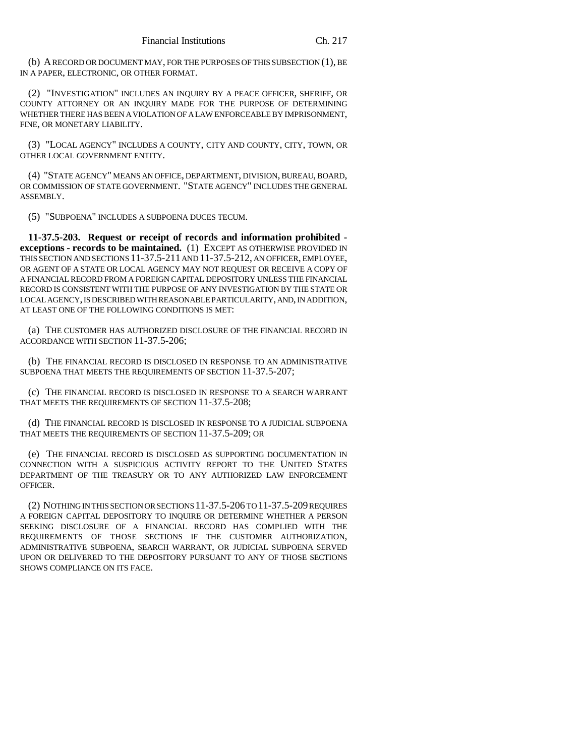(b) A RECORD OR DOCUMENT MAY, FOR THE PURPOSES OF THIS SUBSECTION (1), BE IN A PAPER, ELECTRONIC, OR OTHER FORMAT.

(2) "INVESTIGATION" INCLUDES AN INQUIRY BY A PEACE OFFICER, SHERIFF, OR COUNTY ATTORNEY OR AN INQUIRY MADE FOR THE PURPOSE OF DETERMINING WHETHER THERE HAS BEEN A VIOLATION OF A LAW ENFORCEABLE BY IMPRISONMENT, FINE, OR MONETARY LIABILITY.

(3) "LOCAL AGENCY" INCLUDES A COUNTY, CITY AND COUNTY, CITY, TOWN, OR OTHER LOCAL GOVERNMENT ENTITY.

(4) "STATE AGENCY" MEANS AN OFFICE, DEPARTMENT, DIVISION, BUREAU, BOARD, OR COMMISSION OF STATE GOVERNMENT. "STATE AGENCY" INCLUDES THE GENERAL ASSEMBLY.

(5) "SUBPOENA" INCLUDES A SUBPOENA DUCES TECUM.

**11-37.5-203. Request or receipt of records and information prohibited exceptions - records to be maintained.** (1) EXCEPT AS OTHERWISE PROVIDED IN THIS SECTION AND SECTIONS 11-37.5-211 AND 11-37.5-212, AN OFFICER, EMPLOYEE, OR AGENT OF A STATE OR LOCAL AGENCY MAY NOT REQUEST OR RECEIVE A COPY OF A FINANCIAL RECORD FROM A FOREIGN CAPITAL DEPOSITORY UNLESS THE FINANCIAL RECORD IS CONSISTENT WITH THE PURPOSE OF ANY INVESTIGATION BY THE STATE OR LOCAL AGENCY, IS DESCRIBED WITH REASONABLE PARTICULARITY, AND, IN ADDITION, AT LEAST ONE OF THE FOLLOWING CONDITIONS IS MET:

(a) THE CUSTOMER HAS AUTHORIZED DISCLOSURE OF THE FINANCIAL RECORD IN ACCORDANCE WITH SECTION 11-37.5-206;

(b) THE FINANCIAL RECORD IS DISCLOSED IN RESPONSE TO AN ADMINISTRATIVE SUBPOENA THAT MEETS THE REQUIREMENTS OF SECTION 11-37.5-207;

(c) THE FINANCIAL RECORD IS DISCLOSED IN RESPONSE TO A SEARCH WARRANT THAT MEETS THE REQUIREMENTS OF SECTION 11-37.5-208;

(d) THE FINANCIAL RECORD IS DISCLOSED IN RESPONSE TO A JUDICIAL SUBPOENA THAT MEETS THE REQUIREMENTS OF SECTION 11-37.5-209; OR

(e) THE FINANCIAL RECORD IS DISCLOSED AS SUPPORTING DOCUMENTATION IN CONNECTION WITH A SUSPICIOUS ACTIVITY REPORT TO THE UNITED STATES DEPARTMENT OF THE TREASURY OR TO ANY AUTHORIZED LAW ENFORCEMENT OFFICER.

(2) NOTHING IN THIS SECTION OR SECTIONS 11-37.5-206 TO 11-37.5-209 REQUIRES A FOREIGN CAPITAL DEPOSITORY TO INQUIRE OR DETERMINE WHETHER A PERSON SEEKING DISCLOSURE OF A FINANCIAL RECORD HAS COMPLIED WITH THE REQUIREMENTS OF THOSE SECTIONS IF THE CUSTOMER AUTHORIZATION, ADMINISTRATIVE SUBPOENA, SEARCH WARRANT, OR JUDICIAL SUBPOENA SERVED UPON OR DELIVERED TO THE DEPOSITORY PURSUANT TO ANY OF THOSE SECTIONS SHOWS COMPLIANCE ON ITS FACE.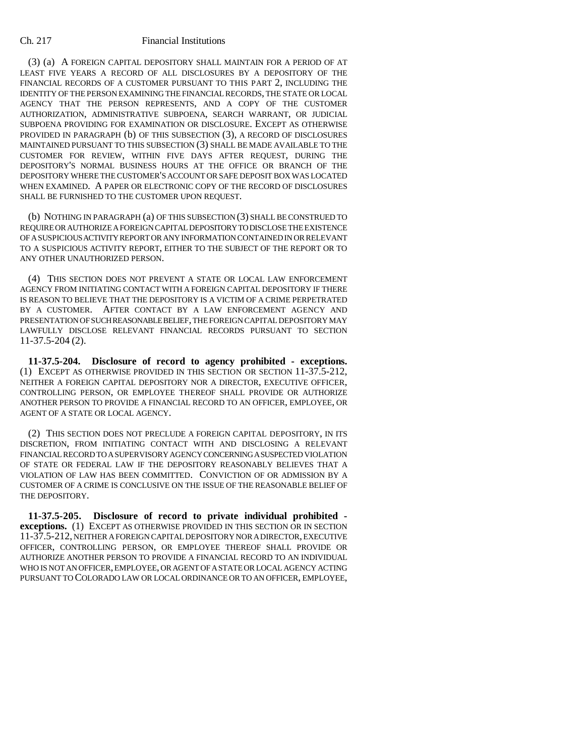(3) (a) A FOREIGN CAPITAL DEPOSITORY SHALL MAINTAIN FOR A PERIOD OF AT LEAST FIVE YEARS A RECORD OF ALL DISCLOSURES BY A DEPOSITORY OF THE FINANCIAL RECORDS OF A CUSTOMER PURSUANT TO THIS PART 2, INCLUDING THE IDENTITY OF THE PERSON EXAMINING THE FINANCIAL RECORDS, THE STATE OR LOCAL AGENCY THAT THE PERSON REPRESENTS, AND A COPY OF THE CUSTOMER AUTHORIZATION, ADMINISTRATIVE SUBPOENA, SEARCH WARRANT, OR JUDICIAL SUBPOENA PROVIDING FOR EXAMINATION OR DISCLOSURE. EXCEPT AS OTHERWISE PROVIDED IN PARAGRAPH (b) OF THIS SUBSECTION (3), A RECORD OF DISCLOSURES MAINTAINED PURSUANT TO THIS SUBSECTION (3) SHALL BE MADE AVAILABLE TO THE CUSTOMER FOR REVIEW, WITHIN FIVE DAYS AFTER REQUEST, DURING THE DEPOSITORY'S NORMAL BUSINESS HOURS AT THE OFFICE OR BRANCH OF THE DEPOSITORY WHERE THE CUSTOMER'S ACCOUNT OR SAFE DEPOSIT BOX WAS LOCATED WHEN EXAMINED. A PAPER OR ELECTRONIC COPY OF THE RECORD OF DISCLOSURES SHALL BE FURNISHED TO THE CUSTOMER UPON REQUEST.

(b) NOTHING IN PARAGRAPH (a) OF THIS SUBSECTION (3) SHALL BE CONSTRUED TO REQUIRE OR AUTHORIZE A FOREIGN CAPITAL DEPOSITORY TO DISCLOSE THE EXISTENCE OF A SUSPICIOUS ACTIVITY REPORT OR ANY INFORMATION CONTAINED IN OR RELEVANT TO A SUSPICIOUS ACTIVITY REPORT, EITHER TO THE SUBJECT OF THE REPORT OR TO ANY OTHER UNAUTHORIZED PERSON.

(4) THIS SECTION DOES NOT PREVENT A STATE OR LOCAL LAW ENFORCEMENT AGENCY FROM INITIATING CONTACT WITH A FOREIGN CAPITAL DEPOSITORY IF THERE IS REASON TO BELIEVE THAT THE DEPOSITORY IS A VICTIM OF A CRIME PERPETRATED BY A CUSTOMER. AFTER CONTACT BY A LAW ENFORCEMENT AGENCY AND PRESENTATION OF SUCH REASONABLE BELIEF, THE FOREIGN CAPITAL DEPOSITORY MAY LAWFULLY DISCLOSE RELEVANT FINANCIAL RECORDS PURSUANT TO SECTION 11-37.5-204 (2).

**11-37.5-204. Disclosure of record to agency prohibited - exceptions.** (1) EXCEPT AS OTHERWISE PROVIDED IN THIS SECTION OR SECTION 11-37.5-212, NEITHER A FOREIGN CAPITAL DEPOSITORY NOR A DIRECTOR, EXECUTIVE OFFICER, CONTROLLING PERSON, OR EMPLOYEE THEREOF SHALL PROVIDE OR AUTHORIZE ANOTHER PERSON TO PROVIDE A FINANCIAL RECORD TO AN OFFICER, EMPLOYEE, OR AGENT OF A STATE OR LOCAL AGENCY.

(2) THIS SECTION DOES NOT PRECLUDE A FOREIGN CAPITAL DEPOSITORY, IN ITS DISCRETION, FROM INITIATING CONTACT WITH AND DISCLOSING A RELEVANT FINANCIAL RECORD TO A SUPERVISORY AGENCY CONCERNING A SUSPECTED VIOLATION OF STATE OR FEDERAL LAW IF THE DEPOSITORY REASONABLY BELIEVES THAT A VIOLATION OF LAW HAS BEEN COMMITTED. CONVICTION OF OR ADMISSION BY A CUSTOMER OF A CRIME IS CONCLUSIVE ON THE ISSUE OF THE REASONABLE BELIEF OF THE DEPOSITORY.

**11-37.5-205. Disclosure of record to private individual prohibited exceptions.** (1) EXCEPT AS OTHERWISE PROVIDED IN THIS SECTION OR IN SECTION 11-37.5-212, NEITHER A FOREIGN CAPITAL DEPOSITORY NOR A DIRECTOR, EXECUTIVE OFFICER, CONTROLLING PERSON, OR EMPLOYEE THEREOF SHALL PROVIDE OR AUTHORIZE ANOTHER PERSON TO PROVIDE A FINANCIAL RECORD TO AN INDIVIDUAL WHO IS NOT AN OFFICER, EMPLOYEE, OR AGENT OF A STATE OR LOCAL AGENCY ACTING PURSUANT TO COLORADO LAW OR LOCAL ORDINANCE OR TO AN OFFICER, EMPLOYEE,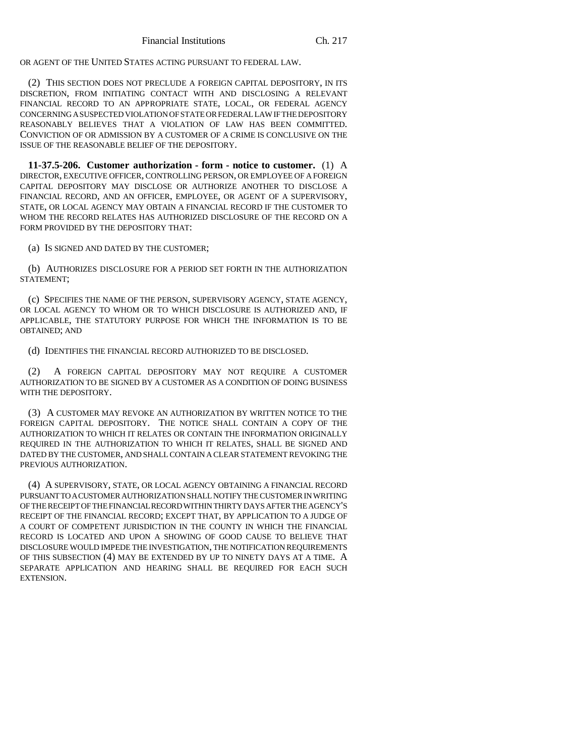OR AGENT OF THE UNITED STATES ACTING PURSUANT TO FEDERAL LAW.

(2) THIS SECTION DOES NOT PRECLUDE A FOREIGN CAPITAL DEPOSITORY, IN ITS DISCRETION, FROM INITIATING CONTACT WITH AND DISCLOSING A RELEVANT FINANCIAL RECORD TO AN APPROPRIATE STATE, LOCAL, OR FEDERAL AGENCY CONCERNING A SUSPECTED VIOLATION OF STATE OR FEDERAL LAW IF THE DEPOSITORY REASONABLY BELIEVES THAT A VIOLATION OF LAW HAS BEEN COMMITTED. CONVICTION OF OR ADMISSION BY A CUSTOMER OF A CRIME IS CONCLUSIVE ON THE ISSUE OF THE REASONABLE BELIEF OF THE DEPOSITORY.

**11-37.5-206. Customer authorization - form - notice to customer.** (1) A DIRECTOR, EXECUTIVE OFFICER, CONTROLLING PERSON, OR EMPLOYEE OF A FOREIGN CAPITAL DEPOSITORY MAY DISCLOSE OR AUTHORIZE ANOTHER TO DISCLOSE A FINANCIAL RECORD, AND AN OFFICER, EMPLOYEE, OR AGENT OF A SUPERVISORY, STATE, OR LOCAL AGENCY MAY OBTAIN A FINANCIAL RECORD IF THE CUSTOMER TO WHOM THE RECORD RELATES HAS AUTHORIZED DISCLOSURE OF THE RECORD ON A FORM PROVIDED BY THE DEPOSITORY THAT:

(a) IS SIGNED AND DATED BY THE CUSTOMER;

(b) AUTHORIZES DISCLOSURE FOR A PERIOD SET FORTH IN THE AUTHORIZATION STATEMENT;

(c) SPECIFIES THE NAME OF THE PERSON, SUPERVISORY AGENCY, STATE AGENCY, OR LOCAL AGENCY TO WHOM OR TO WHICH DISCLOSURE IS AUTHORIZED AND, IF APPLICABLE, THE STATUTORY PURPOSE FOR WHICH THE INFORMATION IS TO BE OBTAINED; AND

(d) IDENTIFIES THE FINANCIAL RECORD AUTHORIZED TO BE DISCLOSED.

(2) A FOREIGN CAPITAL DEPOSITORY MAY NOT REQUIRE A CUSTOMER AUTHORIZATION TO BE SIGNED BY A CUSTOMER AS A CONDITION OF DOING BUSINESS WITH THE DEPOSITORY.

(3) A CUSTOMER MAY REVOKE AN AUTHORIZATION BY WRITTEN NOTICE TO THE FOREIGN CAPITAL DEPOSITORY. THE NOTICE SHALL CONTAIN A COPY OF THE AUTHORIZATION TO WHICH IT RELATES OR CONTAIN THE INFORMATION ORIGINALLY REQUIRED IN THE AUTHORIZATION TO WHICH IT RELATES, SHALL BE SIGNED AND DATED BY THE CUSTOMER, AND SHALL CONTAIN A CLEAR STATEMENT REVOKING THE PREVIOUS AUTHORIZATION.

(4) A SUPERVISORY, STATE, OR LOCAL AGENCY OBTAINING A FINANCIAL RECORD PURSUANT TO A CUSTOMER AUTHORIZATION SHALL NOTIFY THE CUSTOMER IN WRITING OF THE RECEIPT OF THE FINANCIAL RECORD WITHIN THIRTY DAYS AFTER THE AGENCY'S RECEIPT OF THE FINANCIAL RECORD; EXCEPT THAT, BY APPLICATION TO A JUDGE OF A COURT OF COMPETENT JURISDICTION IN THE COUNTY IN WHICH THE FINANCIAL RECORD IS LOCATED AND UPON A SHOWING OF GOOD CAUSE TO BELIEVE THAT DISCLOSURE WOULD IMPEDE THE INVESTIGATION, THE NOTIFICATION REQUIREMENTS OF THIS SUBSECTION (4) MAY BE EXTENDED BY UP TO NINETY DAYS AT A TIME. A SEPARATE APPLICATION AND HEARING SHALL BE REQUIRED FOR EACH SUCH EXTENSION.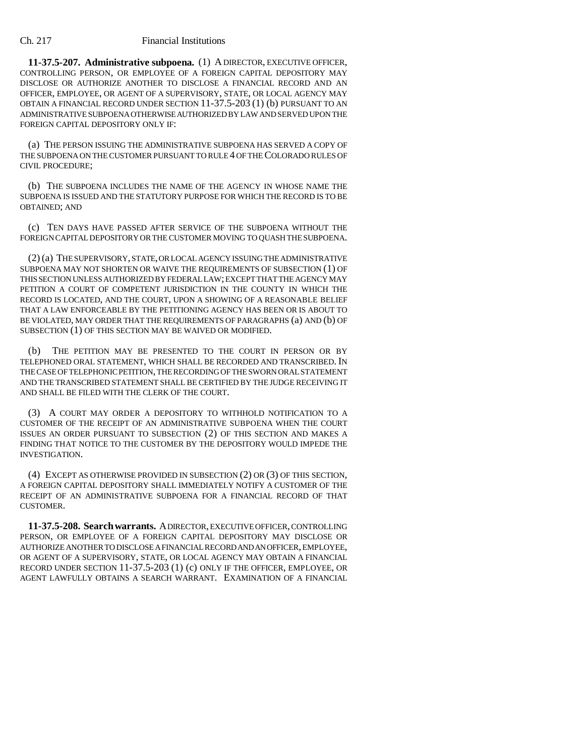**11-37.5-207. Administrative subpoena.** (1) A DIRECTOR, EXECUTIVE OFFICER, CONTROLLING PERSON, OR EMPLOYEE OF A FOREIGN CAPITAL DEPOSITORY MAY DISCLOSE OR AUTHORIZE ANOTHER TO DISCLOSE A FINANCIAL RECORD AND AN OFFICER, EMPLOYEE, OR AGENT OF A SUPERVISORY, STATE, OR LOCAL AGENCY MAY OBTAIN A FINANCIAL RECORD UNDER SECTION 11-37.5-203 (1) (b) PURSUANT TO AN ADMINISTRATIVE SUBPOENA OTHERWISE AUTHORIZED BY LAW AND SERVED UPON THE FOREIGN CAPITAL DEPOSITORY ONLY IF:

(a) THE PERSON ISSUING THE ADMINISTRATIVE SUBPOENA HAS SERVED A COPY OF THE SUBPOENA ON THE CUSTOMER PURSUANT TO RULE 4 OF THE COLORADO RULES OF CIVIL PROCEDURE;

(b) THE SUBPOENA INCLUDES THE NAME OF THE AGENCY IN WHOSE NAME THE SUBPOENA IS ISSUED AND THE STATUTORY PURPOSE FOR WHICH THE RECORD IS TO BE OBTAINED; AND

(c) TEN DAYS HAVE PASSED AFTER SERVICE OF THE SUBPOENA WITHOUT THE FOREIGN CAPITAL DEPOSITORY OR THE CUSTOMER MOVING TO QUASH THE SUBPOENA.

(2) (a) THE SUPERVISORY, STATE, OR LOCAL AGENCY ISSUING THE ADMINISTRATIVE SUBPOENA MAY NOT SHORTEN OR WAIVE THE REQUIREMENTS OF SUBSECTION (1) OF THIS SECTION UNLESS AUTHORIZED BY FEDERAL LAW; EXCEPT THAT THE AGENCY MAY PETITION A COURT OF COMPETENT JURISDICTION IN THE COUNTY IN WHICH THE RECORD IS LOCATED, AND THE COURT, UPON A SHOWING OF A REASONABLE BELIEF THAT A LAW ENFORCEABLE BY THE PETITIONING AGENCY HAS BEEN OR IS ABOUT TO BE VIOLATED, MAY ORDER THAT THE REQUIREMENTS OF PARAGRAPHS (a) AND (b) OF SUBSECTION (1) OF THIS SECTION MAY BE WAIVED OR MODIFIED.

(b) THE PETITION MAY BE PRESENTED TO THE COURT IN PERSON OR BY TELEPHONED ORAL STATEMENT, WHICH SHALL BE RECORDED AND TRANSCRIBED. IN THE CASE OF TELEPHONIC PETITION, THE RECORDING OF THE SWORN ORAL STATEMENT AND THE TRANSCRIBED STATEMENT SHALL BE CERTIFIED BY THE JUDGE RECEIVING IT AND SHALL BE FILED WITH THE CLERK OF THE COURT.

(3) A COURT MAY ORDER A DEPOSITORY TO WITHHOLD NOTIFICATION TO A CUSTOMER OF THE RECEIPT OF AN ADMINISTRATIVE SUBPOENA WHEN THE COURT ISSUES AN ORDER PURSUANT TO SUBSECTION (2) OF THIS SECTION AND MAKES A FINDING THAT NOTICE TO THE CUSTOMER BY THE DEPOSITORY WOULD IMPEDE THE INVESTIGATION.

(4) EXCEPT AS OTHERWISE PROVIDED IN SUBSECTION (2) OR (3) OF THIS SECTION, A FOREIGN CAPITAL DEPOSITORY SHALL IMMEDIATELY NOTIFY A CUSTOMER OF THE RECEIPT OF AN ADMINISTRATIVE SUBPOENA FOR A FINANCIAL RECORD OF THAT CUSTOMER.

**11-37.5-208. Search warrants.** A DIRECTOR, EXECUTIVE OFFICER, CONTROLLING PERSON, OR EMPLOYEE OF A FOREIGN CAPITAL DEPOSITORY MAY DISCLOSE OR AUTHORIZE ANOTHER TO DISCLOSE A FINANCIAL RECORD AND AN OFFICER, EMPLOYEE, OR AGENT OF A SUPERVISORY, STATE, OR LOCAL AGENCY MAY OBTAIN A FINANCIAL RECORD UNDER SECTION 11-37.5-203 (1) (c) ONLY IF THE OFFICER, EMPLOYEE, OR AGENT LAWFULLY OBTAINS A SEARCH WARRANT. EXAMINATION OF A FINANCIAL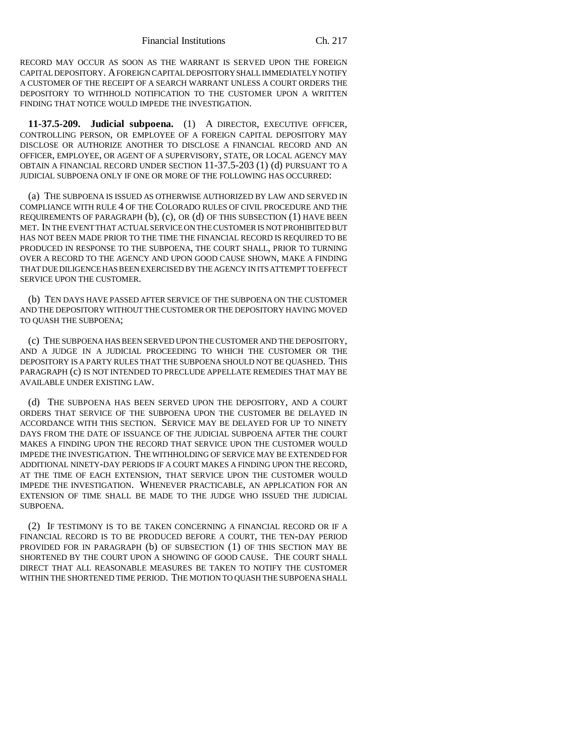RECORD MAY OCCUR AS SOON AS THE WARRANT IS SERVED UPON THE FOREIGN CAPITAL DEPOSITORY. A FOREIGN CAPITAL DEPOSITORY SHALL IMMEDIATELY NOTIFY A CUSTOMER OF THE RECEIPT OF A SEARCH WARRANT UNLESS A COURT ORDERS THE DEPOSITORY TO WITHHOLD NOTIFICATION TO THE CUSTOMER UPON A WRITTEN FINDING THAT NOTICE WOULD IMPEDE THE INVESTIGATION.

**11-37.5-209. Judicial subpoena.** (1) A DIRECTOR, EXECUTIVE OFFICER, CONTROLLING PERSON, OR EMPLOYEE OF A FOREIGN CAPITAL DEPOSITORY MAY DISCLOSE OR AUTHORIZE ANOTHER TO DISCLOSE A FINANCIAL RECORD AND AN OFFICER, EMPLOYEE, OR AGENT OF A SUPERVISORY, STATE, OR LOCAL AGENCY MAY OBTAIN A FINANCIAL RECORD UNDER SECTION 11-37.5-203 (1) (d) PURSUANT TO A JUDICIAL SUBPOENA ONLY IF ONE OR MORE OF THE FOLLOWING HAS OCCURRED:

(a) THE SUBPOENA IS ISSUED AS OTHERWISE AUTHORIZED BY LAW AND SERVED IN COMPLIANCE WITH RULE 4 OF THE COLORADO RULES OF CIVIL PROCEDURE AND THE REQUIREMENTS OF PARAGRAPH (b), (c), OR (d) OF THIS SUBSECTION (1) HAVE BEEN MET. IN THE EVENT THAT ACTUAL SERVICE ON THE CUSTOMER IS NOT PROHIBITED BUT HAS NOT BEEN MADE PRIOR TO THE TIME THE FINANCIAL RECORD IS REQUIRED TO BE PRODUCED IN RESPONSE TO THE SUBPOENA, THE COURT SHALL, PRIOR TO TURNING OVER A RECORD TO THE AGENCY AND UPON GOOD CAUSE SHOWN, MAKE A FINDING THAT DUE DILIGENCE HAS BEEN EXERCISED BY THE AGENCY IN ITS ATTEMPT TO EFFECT SERVICE UPON THE CUSTOMER.

(b) TEN DAYS HAVE PASSED AFTER SERVICE OF THE SUBPOENA ON THE CUSTOMER AND THE DEPOSITORY WITHOUT THE CUSTOMER OR THE DEPOSITORY HAVING MOVED TO QUASH THE SUBPOENA;

(c) THE SUBPOENA HAS BEEN SERVED UPON THE CUSTOMER AND THE DEPOSITORY, AND A JUDGE IN A JUDICIAL PROCEEDING TO WHICH THE CUSTOMER OR THE DEPOSITORY IS A PARTY RULES THAT THE SUBPOENA SHOULD NOT BE QUASHED. THIS PARAGRAPH (c) IS NOT INTENDED TO PRECLUDE APPELLATE REMEDIES THAT MAY BE AVAILABLE UNDER EXISTING LAW.

(d) THE SUBPOENA HAS BEEN SERVED UPON THE DEPOSITORY, AND A COURT ORDERS THAT SERVICE OF THE SUBPOENA UPON THE CUSTOMER BE DELAYED IN ACCORDANCE WITH THIS SECTION. SERVICE MAY BE DELAYED FOR UP TO NINETY DAYS FROM THE DATE OF ISSUANCE OF THE JUDICIAL SUBPOENA AFTER THE COURT MAKES A FINDING UPON THE RECORD THAT SERVICE UPON THE CUSTOMER WOULD IMPEDE THE INVESTIGATION. THE WITHHOLDING OF SERVICE MAY BE EXTENDED FOR ADDITIONAL NINETY-DAY PERIODS IF A COURT MAKES A FINDING UPON THE RECORD, AT THE TIME OF EACH EXTENSION, THAT SERVICE UPON THE CUSTOMER WOULD IMPEDE THE INVESTIGATION. WHENEVER PRACTICABLE, AN APPLICATION FOR AN EXTENSION OF TIME SHALL BE MADE TO THE JUDGE WHO ISSUED THE JUDICIAL SUBPOENA.

(2) IF TESTIMONY IS TO BE TAKEN CONCERNING A FINANCIAL RECORD OR IF A FINANCIAL RECORD IS TO BE PRODUCED BEFORE A COURT, THE TEN-DAY PERIOD PROVIDED FOR IN PARAGRAPH (b) OF SUBSECTION (1) OF THIS SECTION MAY BE SHORTENED BY THE COURT UPON A SHOWING OF GOOD CAUSE. THE COURT SHALL DIRECT THAT ALL REASONABLE MEASURES BE TAKEN TO NOTIFY THE CUSTOMER WITHIN THE SHORTENED TIME PERIOD. THE MOTION TO QUASH THE SUBPOENA SHALL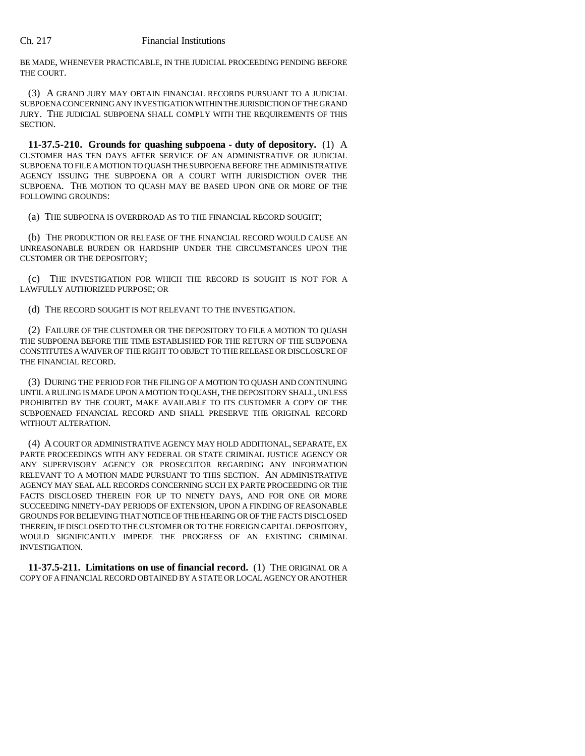BE MADE, WHENEVER PRACTICABLE, IN THE JUDICIAL PROCEEDING PENDING BEFORE THE COURT.

(3) A GRAND JURY MAY OBTAIN FINANCIAL RECORDS PURSUANT TO A JUDICIAL SUBPOENA CONCERNING ANY INVESTIGATION WITHIN THE JURISDICTION OF THE GRAND JURY. THE JUDICIAL SUBPOENA SHALL COMPLY WITH THE REQUIREMENTS OF THIS SECTION.

**11-37.5-210. Grounds for quashing subpoena - duty of depository.** (1) A CUSTOMER HAS TEN DAYS AFTER SERVICE OF AN ADMINISTRATIVE OR JUDICIAL SUBPOENA TO FILE A MOTION TO QUASH THE SUBPOENA BEFORE THE ADMINISTRATIVE AGENCY ISSUING THE SUBPOENA OR A COURT WITH JURISDICTION OVER THE SUBPOENA. THE MOTION TO QUASH MAY BE BASED UPON ONE OR MORE OF THE FOLLOWING GROUNDS:

(a) THE SUBPOENA IS OVERBROAD AS TO THE FINANCIAL RECORD SOUGHT;

(b) THE PRODUCTION OR RELEASE OF THE FINANCIAL RECORD WOULD CAUSE AN UNREASONABLE BURDEN OR HARDSHIP UNDER THE CIRCUMSTANCES UPON THE CUSTOMER OR THE DEPOSITORY;

(c) THE INVESTIGATION FOR WHICH THE RECORD IS SOUGHT IS NOT FOR A LAWFULLY AUTHORIZED PURPOSE; OR

(d) THE RECORD SOUGHT IS NOT RELEVANT TO THE INVESTIGATION.

(2) FAILURE OF THE CUSTOMER OR THE DEPOSITORY TO FILE A MOTION TO QUASH THE SUBPOENA BEFORE THE TIME ESTABLISHED FOR THE RETURN OF THE SUBPOENA CONSTITUTES A WAIVER OF THE RIGHT TO OBJECT TO THE RELEASE OR DISCLOSURE OF THE FINANCIAL RECORD.

(3) DURING THE PERIOD FOR THE FILING OF A MOTION TO QUASH AND CONTINUING UNTIL A RULING IS MADE UPON A MOTION TO QUASH, THE DEPOSITORY SHALL, UNLESS PROHIBITED BY THE COURT, MAKE AVAILABLE TO ITS CUSTOMER A COPY OF THE SUBPOENAED FINANCIAL RECORD AND SHALL PRESERVE THE ORIGINAL RECORD WITHOUT ALTERATION.

(4) A COURT OR ADMINISTRATIVE AGENCY MAY HOLD ADDITIONAL, SEPARATE, EX PARTE PROCEEDINGS WITH ANY FEDERAL OR STATE CRIMINAL JUSTICE AGENCY OR ANY SUPERVISORY AGENCY OR PROSECUTOR REGARDING ANY INFORMATION RELEVANT TO A MOTION MADE PURSUANT TO THIS SECTION. AN ADMINISTRATIVE AGENCY MAY SEAL ALL RECORDS CONCERNING SUCH EX PARTE PROCEEDING OR THE FACTS DISCLOSED THEREIN FOR UP TO NINETY DAYS, AND FOR ONE OR MORE SUCCEEDING NINETY-DAY PERIODS OF EXTENSION, UPON A FINDING OF REASONABLE GROUNDS FOR BELIEVING THAT NOTICE OF THE HEARING OR OF THE FACTS DISCLOSED THEREIN, IF DISCLOSED TO THE CUSTOMER OR TO THE FOREIGN CAPITAL DEPOSITORY, WOULD SIGNIFICANTLY IMPEDE THE PROGRESS OF AN EXISTING CRIMINAL INVESTIGATION.

**11-37.5-211. Limitations on use of financial record.** (1) THE ORIGINAL OR A COPY OF A FINANCIAL RECORD OBTAINED BY A STATE OR LOCAL AGENCY OR ANOTHER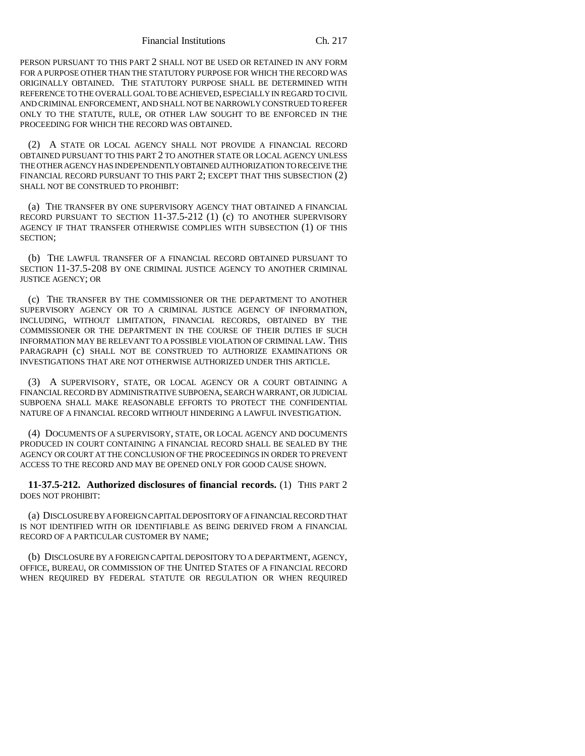Financial Institutions Ch. 217

PERSON PURSUANT TO THIS PART 2 SHALL NOT BE USED OR RETAINED IN ANY FORM FOR A PURPOSE OTHER THAN THE STATUTORY PURPOSE FOR WHICH THE RECORD WAS ORIGINALLY OBTAINED. THE STATUTORY PURPOSE SHALL BE DETERMINED WITH REFERENCE TO THE OVERALL GOAL TO BE ACHIEVED, ESPECIALLY IN REGARD TO CIVIL AND CRIMINAL ENFORCEMENT, AND SHALL NOT BE NARROWLY CONSTRUED TO REFER ONLY TO THE STATUTE, RULE, OR OTHER LAW SOUGHT TO BE ENFORCED IN THE PROCEEDING FOR WHICH THE RECORD WAS OBTAINED.

(2) A STATE OR LOCAL AGENCY SHALL NOT PROVIDE A FINANCIAL RECORD OBTAINED PURSUANT TO THIS PART 2 TO ANOTHER STATE OR LOCAL AGENCY UNLESS THE OTHER AGENCY HAS INDEPENDENTLY OBTAINED AUTHORIZATION TO RECEIVE THE FINANCIAL RECORD PURSUANT TO THIS PART 2; EXCEPT THAT THIS SUBSECTION (2) SHALL NOT BE CONSTRUED TO PROHIBIT:

(a) THE TRANSFER BY ONE SUPERVISORY AGENCY THAT OBTAINED A FINANCIAL RECORD PURSUANT TO SECTION 11-37.5-212 (1) (c) TO ANOTHER SUPERVISORY AGENCY IF THAT TRANSFER OTHERWISE COMPLIES WITH SUBSECTION (1) OF THIS SECTION;

(b) THE LAWFUL TRANSFER OF A FINANCIAL RECORD OBTAINED PURSUANT TO SECTION 11-37.5-208 BY ONE CRIMINAL JUSTICE AGENCY TO ANOTHER CRIMINAL JUSTICE AGENCY; OR

(c) THE TRANSFER BY THE COMMISSIONER OR THE DEPARTMENT TO ANOTHER SUPERVISORY AGENCY OR TO A CRIMINAL JUSTICE AGENCY OF INFORMATION, INCLUDING, WITHOUT LIMITATION, FINANCIAL RECORDS, OBTAINED BY THE COMMISSIONER OR THE DEPARTMENT IN THE COURSE OF THEIR DUTIES IF SUCH INFORMATION MAY BE RELEVANT TO A POSSIBLE VIOLATION OF CRIMINAL LAW. THIS PARAGRAPH (c) SHALL NOT BE CONSTRUED TO AUTHORIZE EXAMINATIONS OR INVESTIGATIONS THAT ARE NOT OTHERWISE AUTHORIZED UNDER THIS ARTICLE.

(3) A SUPERVISORY, STATE, OR LOCAL AGENCY OR A COURT OBTAINING A FINANCIAL RECORD BY ADMINISTRATIVE SUBPOENA, SEARCH WARRANT, OR JUDICIAL SUBPOENA SHALL MAKE REASONABLE EFFORTS TO PROTECT THE CONFIDENTIAL NATURE OF A FINANCIAL RECORD WITHOUT HINDERING A LAWFUL INVESTIGATION.

(4) DOCUMENTS OF A SUPERVISORY, STATE, OR LOCAL AGENCY AND DOCUMENTS PRODUCED IN COURT CONTAINING A FINANCIAL RECORD SHALL BE SEALED BY THE AGENCY OR COURT AT THE CONCLUSION OF THE PROCEEDINGS IN ORDER TO PREVENT ACCESS TO THE RECORD AND MAY BE OPENED ONLY FOR GOOD CAUSE SHOWN.

**11-37.5-212. Authorized disclosures of financial records.** (1) THIS PART 2 DOES NOT PROHIBIT:

(a) DISCLOSURE BY A FOREIGN CAPITAL DEPOSITORY OF A FINANCIAL RECORD THAT IS NOT IDENTIFIED WITH OR IDENTIFIABLE AS BEING DERIVED FROM A FINANCIAL RECORD OF A PARTICULAR CUSTOMER BY NAME;

(b) DISCLOSURE BY A FOREIGN CAPITAL DEPOSITORY TO A DEPARTMENT, AGENCY, OFFICE, BUREAU, OR COMMISSION OF THE UNITED STATES OF A FINANCIAL RECORD WHEN REQUIRED BY FEDERAL STATUTE OR REGULATION OR WHEN REQUIRED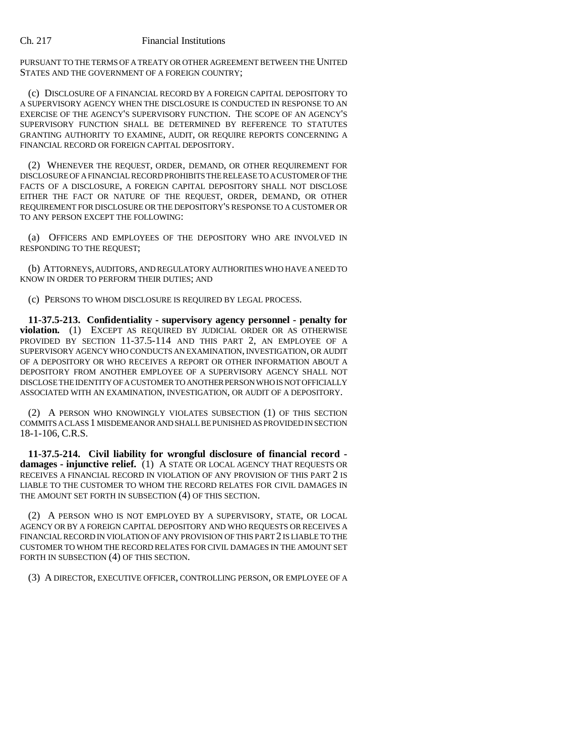PURSUANT TO THE TERMS OF A TREATY OR OTHER AGREEMENT BETWEEN THE UNITED STATES AND THE GOVERNMENT OF A FOREIGN COUNTRY;

(c) DISCLOSURE OF A FINANCIAL RECORD BY A FOREIGN CAPITAL DEPOSITORY TO A SUPERVISORY AGENCY WHEN THE DISCLOSURE IS CONDUCTED IN RESPONSE TO AN EXERCISE OF THE AGENCY'S SUPERVISORY FUNCTION. THE SCOPE OF AN AGENCY'S SUPERVISORY FUNCTION SHALL BE DETERMINED BY REFERENCE TO STATUTES GRANTING AUTHORITY TO EXAMINE, AUDIT, OR REQUIRE REPORTS CONCERNING A FINANCIAL RECORD OR FOREIGN CAPITAL DEPOSITORY.

(2) WHENEVER THE REQUEST, ORDER, DEMAND, OR OTHER REQUIREMENT FOR DISCLOSURE OF A FINANCIAL RECORD PROHIBITS THE RELEASE TO A CUSTOMER OF THE FACTS OF A DISCLOSURE, A FOREIGN CAPITAL DEPOSITORY SHALL NOT DISCLOSE EITHER THE FACT OR NATURE OF THE REQUEST, ORDER, DEMAND, OR OTHER REQUIREMENT FOR DISCLOSURE OR THE DEPOSITORY'S RESPONSE TO A CUSTOMER OR TO ANY PERSON EXCEPT THE FOLLOWING:

(a) OFFICERS AND EMPLOYEES OF THE DEPOSITORY WHO ARE INVOLVED IN RESPONDING TO THE REQUEST;

(b) ATTORNEYS, AUDITORS, AND REGULATORY AUTHORITIES WHO HAVE A NEED TO KNOW IN ORDER TO PERFORM THEIR DUTIES; AND

(c) PERSONS TO WHOM DISCLOSURE IS REQUIRED BY LEGAL PROCESS.

**11-37.5-213. Confidentiality - supervisory agency personnel - penalty for violation.** (1) EXCEPT AS REQUIRED BY JUDICIAL ORDER OR AS OTHERWISE PROVIDED BY SECTION 11-37.5-114 AND THIS PART 2, AN EMPLOYEE OF A SUPERVISORY AGENCY WHO CONDUCTS AN EXAMINATION, INVESTIGATION, OR AUDIT OF A DEPOSITORY OR WHO RECEIVES A REPORT OR OTHER INFORMATION ABOUT A DEPOSITORY FROM ANOTHER EMPLOYEE OF A SUPERVISORY AGENCY SHALL NOT DISCLOSE THE IDENTITY OF A CUSTOMER TO ANOTHER PERSON WHO IS NOT OFFICIALLY ASSOCIATED WITH AN EXAMINATION, INVESTIGATION, OR AUDIT OF A DEPOSITORY.

(2) A PERSON WHO KNOWINGLY VIOLATES SUBSECTION (1) OF THIS SECTION COMMITS A CLASS 1 MISDEMEANOR AND SHALL BE PUNISHED AS PROVIDED IN SECTION 18-1-106, C.R.S.

**11-37.5-214. Civil liability for wrongful disclosure of financial record damages - injunctive relief.** (1) A STATE OR LOCAL AGENCY THAT REQUESTS OR RECEIVES A FINANCIAL RECORD IN VIOLATION OF ANY PROVISION OF THIS PART 2 IS LIABLE TO THE CUSTOMER TO WHOM THE RECORD RELATES FOR CIVIL DAMAGES IN THE AMOUNT SET FORTH IN SUBSECTION (4) OF THIS SECTION.

(2) A PERSON WHO IS NOT EMPLOYED BY A SUPERVISORY, STATE, OR LOCAL AGENCY OR BY A FOREIGN CAPITAL DEPOSITORY AND WHO REQUESTS OR RECEIVES A FINANCIAL RECORD IN VIOLATION OF ANY PROVISION OF THIS PART 2 IS LIABLE TO THE CUSTOMER TO WHOM THE RECORD RELATES FOR CIVIL DAMAGES IN THE AMOUNT SET FORTH IN SUBSECTION  $(4)$  OF THIS SECTION.

(3) A DIRECTOR, EXECUTIVE OFFICER, CONTROLLING PERSON, OR EMPLOYEE OF A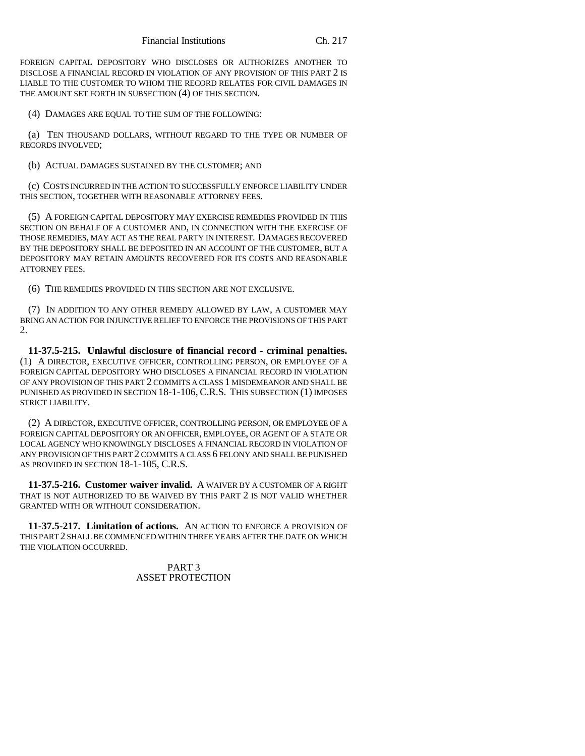FOREIGN CAPITAL DEPOSITORY WHO DISCLOSES OR AUTHORIZES ANOTHER TO DISCLOSE A FINANCIAL RECORD IN VIOLATION OF ANY PROVISION OF THIS PART 2 IS LIABLE TO THE CUSTOMER TO WHOM THE RECORD RELATES FOR CIVIL DAMAGES IN THE AMOUNT SET FORTH IN SUBSECTION (4) OF THIS SECTION.

(4) DAMAGES ARE EQUAL TO THE SUM OF THE FOLLOWING:

(a) TEN THOUSAND DOLLARS, WITHOUT REGARD TO THE TYPE OR NUMBER OF RECORDS INVOLVED;

(b) ACTUAL DAMAGES SUSTAINED BY THE CUSTOMER; AND

(c) COSTS INCURRED IN THE ACTION TO SUCCESSFULLY ENFORCE LIABILITY UNDER THIS SECTION, TOGETHER WITH REASONABLE ATTORNEY FEES.

(5) A FOREIGN CAPITAL DEPOSITORY MAY EXERCISE REMEDIES PROVIDED IN THIS SECTION ON BEHALF OF A CUSTOMER AND, IN CONNECTION WITH THE EXERCISE OF THOSE REMEDIES, MAY ACT AS THE REAL PARTY IN INTEREST. DAMAGES RECOVERED BY THE DEPOSITORY SHALL BE DEPOSITED IN AN ACCOUNT OF THE CUSTOMER, BUT A DEPOSITORY MAY RETAIN AMOUNTS RECOVERED FOR ITS COSTS AND REASONABLE ATTORNEY FEES.

(6) THE REMEDIES PROVIDED IN THIS SECTION ARE NOT EXCLUSIVE.

(7) IN ADDITION TO ANY OTHER REMEDY ALLOWED BY LAW, A CUSTOMER MAY BRING AN ACTION FOR INJUNCTIVE RELIEF TO ENFORCE THE PROVISIONS OF THIS PART 2.

**11-37.5-215. Unlawful disclosure of financial record - criminal penalties.** (1) A DIRECTOR, EXECUTIVE OFFICER, CONTROLLING PERSON, OR EMPLOYEE OF A FOREIGN CAPITAL DEPOSITORY WHO DISCLOSES A FINANCIAL RECORD IN VIOLATION OF ANY PROVISION OF THIS PART 2 COMMITS A CLASS 1 MISDEMEANOR AND SHALL BE PUNISHED AS PROVIDED IN SECTION 18-1-106, C.R.S. THIS SUBSECTION (1) IMPOSES STRICT LIABILITY.

(2) A DIRECTOR, EXECUTIVE OFFICER, CONTROLLING PERSON, OR EMPLOYEE OF A FOREIGN CAPITAL DEPOSITORY OR AN OFFICER, EMPLOYEE, OR AGENT OF A STATE OR LOCAL AGENCY WHO KNOWINGLY DISCLOSES A FINANCIAL RECORD IN VIOLATION OF ANY PROVISION OF THIS PART 2 COMMITS A CLASS 6 FELONY AND SHALL BE PUNISHED AS PROVIDED IN SECTION 18-1-105, C.R.S.

**11-37.5-216. Customer waiver invalid.** A WAIVER BY A CUSTOMER OF A RIGHT THAT IS NOT AUTHORIZED TO BE WAIVED BY THIS PART 2 IS NOT VALID WHETHER GRANTED WITH OR WITHOUT CONSIDERATION.

**11-37.5-217. Limitation of actions.** AN ACTION TO ENFORCE A PROVISION OF THIS PART 2 SHALL BE COMMENCED WITHIN THREE YEARS AFTER THE DATE ON WHICH THE VIOLATION OCCURRED.

> PART 3 ASSET PROTECTION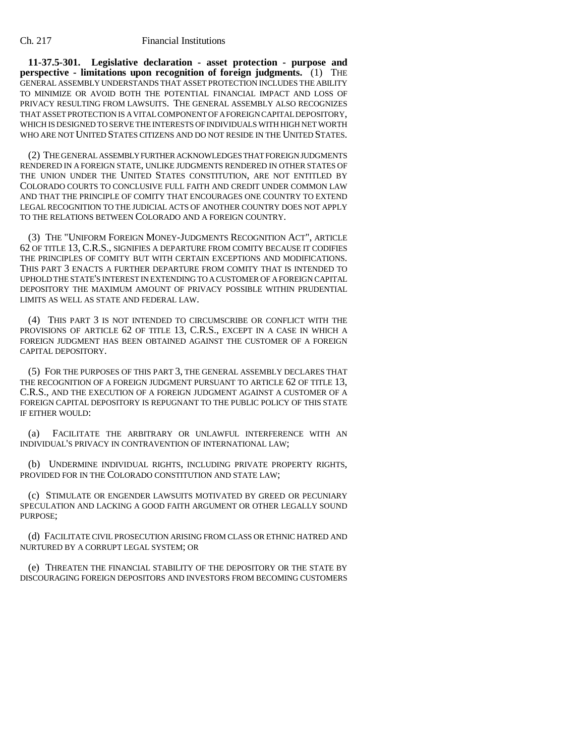**11-37.5-301. Legislative declaration - asset protection - purpose and perspective - limitations upon recognition of foreign judgments.** (1) THE GENERAL ASSEMBLY UNDERSTANDS THAT ASSET PROTECTION INCLUDES THE ABILITY TO MINIMIZE OR AVOID BOTH THE POTENTIAL FINANCIAL IMPACT AND LOSS OF PRIVACY RESULTING FROM LAWSUITS. THE GENERAL ASSEMBLY ALSO RECOGNIZES THAT ASSET PROTECTION IS A VITAL COMPONENT OF A FOREIGN CAPITAL DEPOSITORY, WHICH IS DESIGNED TO SERVE THE INTERESTS OF INDIVIDUALS WITH HIGH NET WORTH WHO ARE NOT UNITED STATES CITIZENS AND DO NOT RESIDE IN THE UNITED STATES.

(2) THE GENERAL ASSEMBLY FURTHER ACKNOWLEDGES THAT FOREIGN JUDGMENTS RENDERED IN A FOREIGN STATE, UNLIKE JUDGMENTS RENDERED IN OTHER STATES OF THE UNION UNDER THE UNITED STATES CONSTITUTION, ARE NOT ENTITLED BY COLORADO COURTS TO CONCLUSIVE FULL FAITH AND CREDIT UNDER COMMON LAW AND THAT THE PRINCIPLE OF COMITY THAT ENCOURAGES ONE COUNTRY TO EXTEND LEGAL RECOGNITION TO THE JUDICIAL ACTS OF ANOTHER COUNTRY DOES NOT APPLY TO THE RELATIONS BETWEEN COLORADO AND A FOREIGN COUNTRY.

(3) THE "UNIFORM FOREIGN MONEY-JUDGMENTS RECOGNITION ACT", ARTICLE 62 OF TITLE 13, C.R.S., SIGNIFIES A DEPARTURE FROM COMITY BECAUSE IT CODIFIES THE PRINCIPLES OF COMITY BUT WITH CERTAIN EXCEPTIONS AND MODIFICATIONS. THIS PART 3 ENACTS A FURTHER DEPARTURE FROM COMITY THAT IS INTENDED TO UPHOLD THE STATE'S INTEREST IN EXTENDING TO A CUSTOMER OF A FOREIGN CAPITAL DEPOSITORY THE MAXIMUM AMOUNT OF PRIVACY POSSIBLE WITHIN PRUDENTIAL LIMITS AS WELL AS STATE AND FEDERAL LAW.

(4) THIS PART 3 IS NOT INTENDED TO CIRCUMSCRIBE OR CONFLICT WITH THE PROVISIONS OF ARTICLE 62 OF TITLE 13, C.R.S., EXCEPT IN A CASE IN WHICH A FOREIGN JUDGMENT HAS BEEN OBTAINED AGAINST THE CUSTOMER OF A FOREIGN CAPITAL DEPOSITORY.

(5) FOR THE PURPOSES OF THIS PART 3, THE GENERAL ASSEMBLY DECLARES THAT THE RECOGNITION OF A FOREIGN JUDGMENT PURSUANT TO ARTICLE 62 OF TITLE 13, C.R.S., AND THE EXECUTION OF A FOREIGN JUDGMENT AGAINST A CUSTOMER OF A FOREIGN CAPITAL DEPOSITORY IS REPUGNANT TO THE PUBLIC POLICY OF THIS STATE IF EITHER WOULD:

(a) FACILITATE THE ARBITRARY OR UNLAWFUL INTERFERENCE WITH AN INDIVIDUAL'S PRIVACY IN CONTRAVENTION OF INTERNATIONAL LAW;

(b) UNDERMINE INDIVIDUAL RIGHTS, INCLUDING PRIVATE PROPERTY RIGHTS, PROVIDED FOR IN THE COLORADO CONSTITUTION AND STATE LAW;

(c) STIMULATE OR ENGENDER LAWSUITS MOTIVATED BY GREED OR PECUNIARY SPECULATION AND LACKING A GOOD FAITH ARGUMENT OR OTHER LEGALLY SOUND PURPOSE;

(d) FACILITATE CIVIL PROSECUTION ARISING FROM CLASS OR ETHNIC HATRED AND NURTURED BY A CORRUPT LEGAL SYSTEM; OR

(e) THREATEN THE FINANCIAL STABILITY OF THE DEPOSITORY OR THE STATE BY DISCOURAGING FOREIGN DEPOSITORS AND INVESTORS FROM BECOMING CUSTOMERS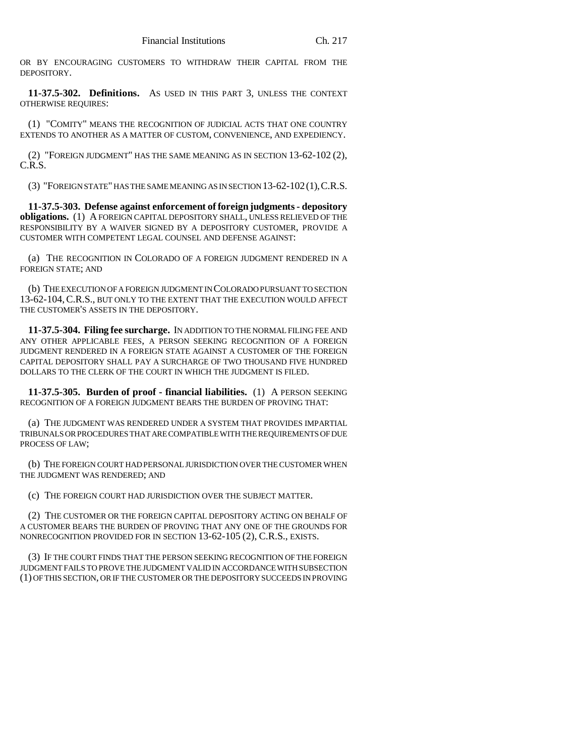OR BY ENCOURAGING CUSTOMERS TO WITHDRAW THEIR CAPITAL FROM THE DEPOSITORY.

**11-37.5-302. Definitions.** AS USED IN THIS PART 3, UNLESS THE CONTEXT OTHERWISE REQUIRES:

(1) "COMITY" MEANS THE RECOGNITION OF JUDICIAL ACTS THAT ONE COUNTRY EXTENDS TO ANOTHER AS A MATTER OF CUSTOM, CONVENIENCE, AND EXPEDIENCY.

(2) "FOREIGN JUDGMENT" HAS THE SAME MEANING AS IN SECTION 13-62-102 (2), C.R.S.

(3) "FOREIGN STATE" HAS THE SAME MEANING AS IN SECTION 13-62-102(1),C.R.S.

**11-37.5-303. Defense against enforcement of foreign judgments - depository obligations.** (1) A FOREIGN CAPITAL DEPOSITORY SHALL, UNLESS RELIEVED OF THE RESPONSIBILITY BY A WAIVER SIGNED BY A DEPOSITORY CUSTOMER, PROVIDE A CUSTOMER WITH COMPETENT LEGAL COUNSEL AND DEFENSE AGAINST:

(a) THE RECOGNITION IN COLORADO OF A FOREIGN JUDGMENT RENDERED IN A FOREIGN STATE; AND

(b) THE EXECUTION OF A FOREIGN JUDGMENT IN COLORADO PURSUANT TO SECTION 13-62-104,C.R.S., BUT ONLY TO THE EXTENT THAT THE EXECUTION WOULD AFFECT THE CUSTOMER'S ASSETS IN THE DEPOSITORY.

**11-37.5-304. Filing fee surcharge.** IN ADDITION TO THE NORMAL FILING FEE AND ANY OTHER APPLICABLE FEES, A PERSON SEEKING RECOGNITION OF A FOREIGN JUDGMENT RENDERED IN A FOREIGN STATE AGAINST A CUSTOMER OF THE FOREIGN CAPITAL DEPOSITORY SHALL PAY A SURCHARGE OF TWO THOUSAND FIVE HUNDRED DOLLARS TO THE CLERK OF THE COURT IN WHICH THE JUDGMENT IS FILED.

**11-37.5-305. Burden of proof - financial liabilities.** (1) A PERSON SEEKING RECOGNITION OF A FOREIGN JUDGMENT BEARS THE BURDEN OF PROVING THAT:

(a) THE JUDGMENT WAS RENDERED UNDER A SYSTEM THAT PROVIDES IMPARTIAL TRIBUNALS OR PROCEDURES THAT ARE COMPATIBLE WITH THE REQUIREMENTS OF DUE PROCESS OF LAW;

(b) THE FOREIGN COURT HAD PERSONAL JURISDICTION OVER THE CUSTOMER WHEN THE JUDGMENT WAS RENDERED; AND

(c) THE FOREIGN COURT HAD JURISDICTION OVER THE SUBJECT MATTER.

(2) THE CUSTOMER OR THE FOREIGN CAPITAL DEPOSITORY ACTING ON BEHALF OF A CUSTOMER BEARS THE BURDEN OF PROVING THAT ANY ONE OF THE GROUNDS FOR NONRECOGNITION PROVIDED FOR IN SECTION 13-62-105 (2), C.R.S., EXISTS.

(3) IF THE COURT FINDS THAT THE PERSON SEEKING RECOGNITION OF THE FOREIGN JUDGMENT FAILS TO PROVE THE JUDGMENT VALID IN ACCORDANCE WITH SUBSECTION (1) OF THIS SECTION, OR IF THE CUSTOMER OR THE DEPOSITORY SUCCEEDS IN PROVING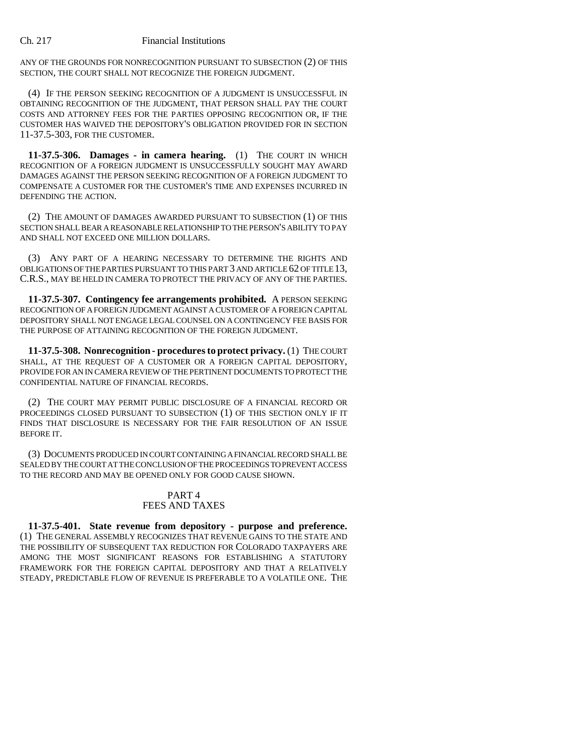ANY OF THE GROUNDS FOR NONRECOGNITION PURSUANT TO SUBSECTION (2) OF THIS SECTION, THE COURT SHALL NOT RECOGNIZE THE FOREIGN JUDGMENT.

(4) IF THE PERSON SEEKING RECOGNITION OF A JUDGMENT IS UNSUCCESSFUL IN OBTAINING RECOGNITION OF THE JUDGMENT, THAT PERSON SHALL PAY THE COURT COSTS AND ATTORNEY FEES FOR THE PARTIES OPPOSING RECOGNITION OR, IF THE CUSTOMER HAS WAIVED THE DEPOSITORY'S OBLIGATION PROVIDED FOR IN SECTION 11-37.5-303, FOR THE CUSTOMER.

**11-37.5-306. Damages - in camera hearing.** (1) THE COURT IN WHICH RECOGNITION OF A FOREIGN JUDGMENT IS UNSUCCESSFULLY SOUGHT MAY AWARD DAMAGES AGAINST THE PERSON SEEKING RECOGNITION OF A FOREIGN JUDGMENT TO COMPENSATE A CUSTOMER FOR THE CUSTOMER'S TIME AND EXPENSES INCURRED IN DEFENDING THE ACTION.

(2) THE AMOUNT OF DAMAGES AWARDED PURSUANT TO SUBSECTION (1) OF THIS SECTION SHALL BEAR A REASONABLE RELATIONSHIP TO THE PERSON'S ABILITY TO PAY AND SHALL NOT EXCEED ONE MILLION DOLLARS.

(3) ANY PART OF A HEARING NECESSARY TO DETERMINE THE RIGHTS AND OBLIGATIONS OF THE PARTIES PURSUANT TO THIS PART 3 AND ARTICLE 62 OF TITLE 13, C.R.S., MAY BE HELD IN CAMERA TO PROTECT THE PRIVACY OF ANY OF THE PARTIES.

**11-37.5-307. Contingency fee arrangements prohibited.** A PERSON SEEKING RECOGNITION OF A FOREIGN JUDGMENT AGAINST A CUSTOMER OF A FOREIGN CAPITAL DEPOSITORY SHALL NOT ENGAGE LEGAL COUNSEL ON A CONTINGENCY FEE BASIS FOR THE PURPOSE OF ATTAINING RECOGNITION OF THE FOREIGN JUDGMENT.

**11-37.5-308. Nonrecognition - procedures to protect privacy.** (1) THE COURT SHALL, AT THE REQUEST OF A CUSTOMER OR A FOREIGN CAPITAL DEPOSITORY. PROVIDE FOR AN IN CAMERA REVIEW OF THE PERTINENT DOCUMENTS TO PROTECT THE CONFIDENTIAL NATURE OF FINANCIAL RECORDS.

(2) THE COURT MAY PERMIT PUBLIC DISCLOSURE OF A FINANCIAL RECORD OR PROCEEDINGS CLOSED PURSUANT TO SUBSECTION (1) OF THIS SECTION ONLY IF IT FINDS THAT DISCLOSURE IS NECESSARY FOR THE FAIR RESOLUTION OF AN ISSUE BEFORE IT.

(3) DOCUMENTS PRODUCED IN COURT CONTAINING A FINANCIAL RECORD SHALL BE SEALED BY THE COURT AT THE CONCLUSION OF THE PROCEEDINGS TO PREVENT ACCESS TO THE RECORD AND MAY BE OPENED ONLY FOR GOOD CAUSE SHOWN.

## PART 4 FEES AND TAXES

**11-37.5-401. State revenue from depository - purpose and preference.** (1) THE GENERAL ASSEMBLY RECOGNIZES THAT REVENUE GAINS TO THE STATE AND THE POSSIBILITY OF SUBSEQUENT TAX REDUCTION FOR COLORADO TAXPAYERS ARE AMONG THE MOST SIGNIFICANT REASONS FOR ESTABLISHING A STATUTORY FRAMEWORK FOR THE FOREIGN CAPITAL DEPOSITORY AND THAT A RELATIVELY STEADY, PREDICTABLE FLOW OF REVENUE IS PREFERABLE TO A VOLATILE ONE. THE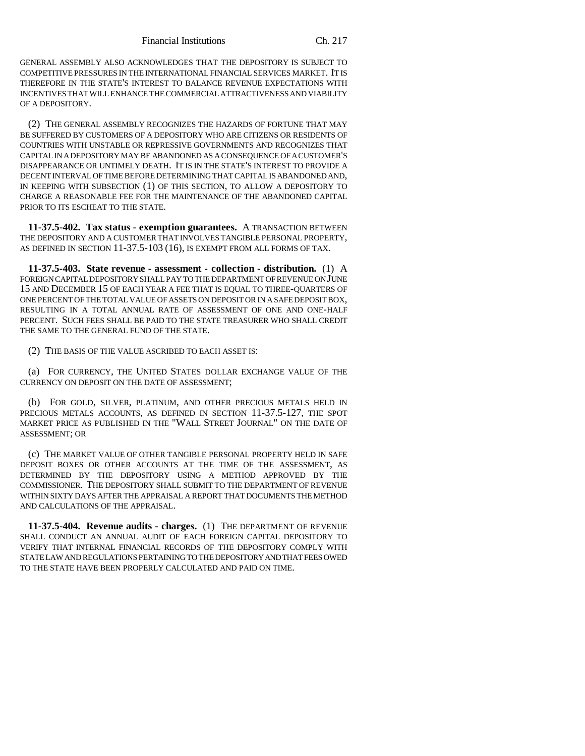GENERAL ASSEMBLY ALSO ACKNOWLEDGES THAT THE DEPOSITORY IS SUBJECT TO COMPETITIVE PRESSURES IN THE INTERNATIONAL FINANCIAL SERVICES MARKET. IT IS THEREFORE IN THE STATE'S INTEREST TO BALANCE REVENUE EXPECTATIONS WITH INCENTIVES THAT WILL ENHANCE THE COMMERCIAL ATTRACTIVENESS AND VIABILITY OF A DEPOSITORY.

(2) THE GENERAL ASSEMBLY RECOGNIZES THE HAZARDS OF FORTUNE THAT MAY BE SUFFERED BY CUSTOMERS OF A DEPOSITORY WHO ARE CITIZENS OR RESIDENTS OF COUNTRIES WITH UNSTABLE OR REPRESSIVE GOVERNMENTS AND RECOGNIZES THAT CAPITAL IN A DEPOSITORY MAY BE ABANDONED AS A CONSEQUENCE OF A CUSTOMER'S DISAPPEARANCE OR UNTIMELY DEATH. IT IS IN THE STATE'S INTEREST TO PROVIDE A DECENT INTERVAL OF TIME BEFORE DETERMINING THAT CAPITAL IS ABANDONED AND, IN KEEPING WITH SUBSECTION (1) OF THIS SECTION, TO ALLOW A DEPOSITORY TO CHARGE A REASONABLE FEE FOR THE MAINTENANCE OF THE ABANDONED CAPITAL PRIOR TO ITS ESCHEAT TO THE STATE.

**11-37.5-402. Tax status - exemption guarantees.** A TRANSACTION BETWEEN THE DEPOSITORY AND A CUSTOMER THAT INVOLVES TANGIBLE PERSONAL PROPERTY, AS DEFINED IN SECTION 11-37.5-103 (16), IS EXEMPT FROM ALL FORMS OF TAX.

**11-37.5-403. State revenue - assessment - collection - distribution.** (1) A FOREIGN CAPITAL DEPOSITORY SHALL PAY TO THE DEPARTMENT OF REVENUE ON JUNE 15 AND DECEMBER 15 OF EACH YEAR A FEE THAT IS EQUAL TO THREE-QUARTERS OF ONE PERCENT OF THE TOTAL VALUE OF ASSETS ON DEPOSIT OR IN A SAFE DEPOSIT BOX, RESULTING IN A TOTAL ANNUAL RATE OF ASSESSMENT OF ONE AND ONE-HALF PERCENT. SUCH FEES SHALL BE PAID TO THE STATE TREASURER WHO SHALL CREDIT THE SAME TO THE GENERAL FUND OF THE STATE.

(2) THE BASIS OF THE VALUE ASCRIBED TO EACH ASSET IS:

(a) FOR CURRENCY, THE UNITED STATES DOLLAR EXCHANGE VALUE OF THE CURRENCY ON DEPOSIT ON THE DATE OF ASSESSMENT;

(b) FOR GOLD, SILVER, PLATINUM, AND OTHER PRECIOUS METALS HELD IN PRECIOUS METALS ACCOUNTS, AS DEFINED IN SECTION 11-37.5-127, THE SPOT MARKET PRICE AS PUBLISHED IN THE "WALL STREET JOURNAL" ON THE DATE OF ASSESSMENT; OR

(c) THE MARKET VALUE OF OTHER TANGIBLE PERSONAL PROPERTY HELD IN SAFE DEPOSIT BOXES OR OTHER ACCOUNTS AT THE TIME OF THE ASSESSMENT, AS DETERMINED BY THE DEPOSITORY USING A METHOD APPROVED BY THE COMMISSIONER. THE DEPOSITORY SHALL SUBMIT TO THE DEPARTMENT OF REVENUE WITHIN SIXTY DAYS AFTER THE APPRAISAL A REPORT THAT DOCUMENTS THE METHOD AND CALCULATIONS OF THE APPRAISAL.

**11-37.5-404. Revenue audits - charges.** (1) THE DEPARTMENT OF REVENUE SHALL CONDUCT AN ANNUAL AUDIT OF EACH FOREIGN CAPITAL DEPOSITORY TO VERIFY THAT INTERNAL FINANCIAL RECORDS OF THE DEPOSITORY COMPLY WITH STATE LAW AND REGULATIONS PERTAINING TO THE DEPOSITORY AND THAT FEES OWED TO THE STATE HAVE BEEN PROPERLY CALCULATED AND PAID ON TIME.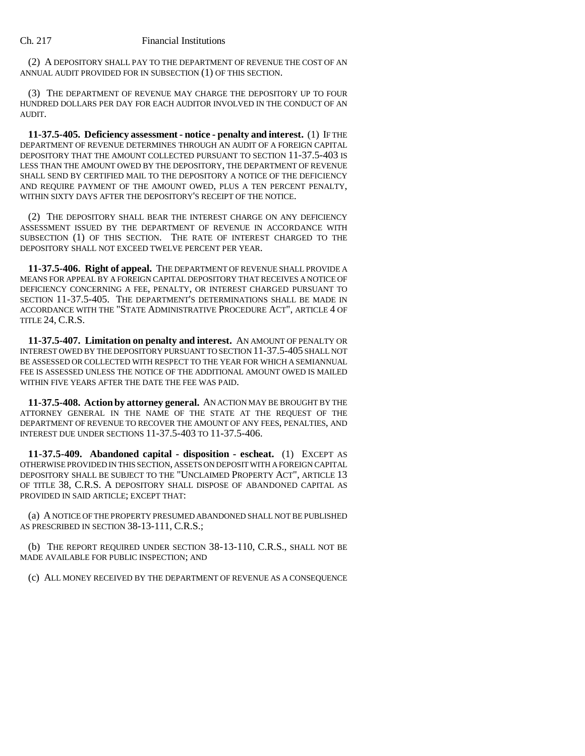(2) A DEPOSITORY SHALL PAY TO THE DEPARTMENT OF REVENUE THE COST OF AN ANNUAL AUDIT PROVIDED FOR IN SUBSECTION (1) OF THIS SECTION.

(3) THE DEPARTMENT OF REVENUE MAY CHARGE THE DEPOSITORY UP TO FOUR HUNDRED DOLLARS PER DAY FOR EACH AUDITOR INVOLVED IN THE CONDUCT OF AN AUDIT.

**11-37.5-405. Deficiency assessment - notice - penalty and interest.** (1) IF THE DEPARTMENT OF REVENUE DETERMINES THROUGH AN AUDIT OF A FOREIGN CAPITAL DEPOSITORY THAT THE AMOUNT COLLECTED PURSUANT TO SECTION 11-37.5-403 IS LESS THAN THE AMOUNT OWED BY THE DEPOSITORY, THE DEPARTMENT OF REVENUE SHALL SEND BY CERTIFIED MAIL TO THE DEPOSITORY A NOTICE OF THE DEFICIENCY AND REQUIRE PAYMENT OF THE AMOUNT OWED, PLUS A TEN PERCENT PENALTY, WITHIN SIXTY DAYS AFTER THE DEPOSITORY'S RECEIPT OF THE NOTICE.

(2) THE DEPOSITORY SHALL BEAR THE INTEREST CHARGE ON ANY DEFICIENCY ASSESSMENT ISSUED BY THE DEPARTMENT OF REVENUE IN ACCORDANCE WITH SUBSECTION (1) OF THIS SECTION. THE RATE OF INTEREST CHARGED TO THE DEPOSITORY SHALL NOT EXCEED TWELVE PERCENT PER YEAR.

**11-37.5-406. Right of appeal.** THE DEPARTMENT OF REVENUE SHALL PROVIDE A MEANS FOR APPEAL BY A FOREIGN CAPITAL DEPOSITORY THAT RECEIVES A NOTICE OF DEFICIENCY CONCERNING A FEE, PENALTY, OR INTEREST CHARGED PURSUANT TO SECTION 11-37.5-405. THE DEPARTMENT'S DETERMINATIONS SHALL BE MADE IN ACCORDANCE WITH THE "STATE ADMINISTRATIVE PROCEDURE ACT", ARTICLE 4 OF TITLE 24, C.R.S.

**11-37.5-407. Limitation on penalty and interest.** AN AMOUNT OF PENALTY OR INTEREST OWED BY THE DEPOSITORY PURSUANT TO SECTION 11-37.5-405 SHALL NOT BE ASSESSED OR COLLECTED WITH RESPECT TO THE YEAR FOR WHICH A SEMIANNUAL FEE IS ASSESSED UNLESS THE NOTICE OF THE ADDITIONAL AMOUNT OWED IS MAILED WITHIN FIVE YEARS AFTER THE DATE THE FEE WAS PAID.

**11-37.5-408. Action by attorney general.** AN ACTION MAY BE BROUGHT BY THE ATTORNEY GENERAL IN THE NAME OF THE STATE AT THE REQUEST OF THE DEPARTMENT OF REVENUE TO RECOVER THE AMOUNT OF ANY FEES, PENALTIES, AND INTEREST DUE UNDER SECTIONS 11-37.5-403 TO 11-37.5-406.

**11-37.5-409. Abandoned capital - disposition - escheat.** (1) EXCEPT AS OTHERWISE PROVIDED IN THIS SECTION, ASSETS ON DEPOSIT WITH A FOREIGN CAPITAL DEPOSITORY SHALL BE SUBJECT TO THE "UNCLAIMED PROPERTY ACT", ARTICLE 13 OF TITLE 38, C.R.S. A DEPOSITORY SHALL DISPOSE OF ABANDONED CAPITAL AS PROVIDED IN SAID ARTICLE; EXCEPT THAT:

(a) A NOTICE OF THE PROPERTY PRESUMED ABANDONED SHALL NOT BE PUBLISHED AS PRESCRIBED IN SECTION 38-13-111, C.R.S.;

(b) THE REPORT REQUIRED UNDER SECTION 38-13-110, C.R.S., SHALL NOT BE MADE AVAILABLE FOR PUBLIC INSPECTION; AND

(c) ALL MONEY RECEIVED BY THE DEPARTMENT OF REVENUE AS A CONSEQUENCE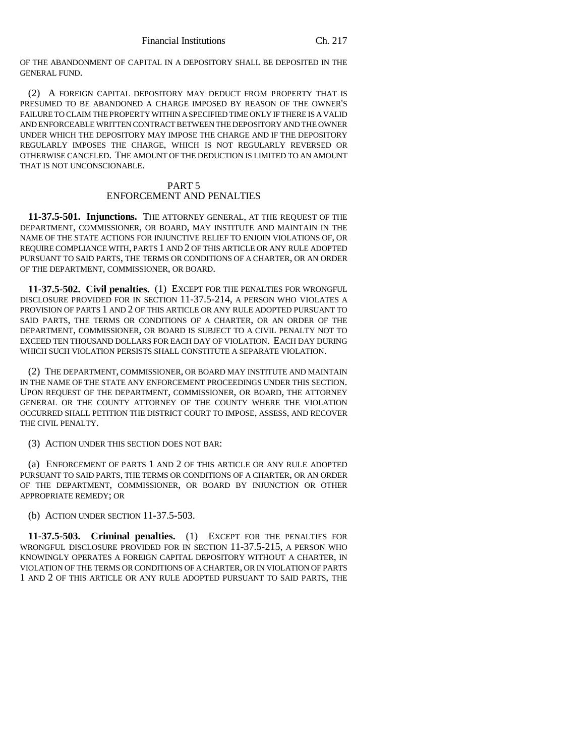OF THE ABANDONMENT OF CAPITAL IN A DEPOSITORY SHALL BE DEPOSITED IN THE GENERAL FUND.

(2) A FOREIGN CAPITAL DEPOSITORY MAY DEDUCT FROM PROPERTY THAT IS PRESUMED TO BE ABANDONED A CHARGE IMPOSED BY REASON OF THE OWNER'S FAILURE TO CLAIM THE PROPERTY WITHIN A SPECIFIED TIME ONLY IF THERE IS A VALID AND ENFORCEABLE WRITTEN CONTRACT BETWEEN THE DEPOSITORY AND THE OWNER UNDER WHICH THE DEPOSITORY MAY IMPOSE THE CHARGE AND IF THE DEPOSITORY REGULARLY IMPOSES THE CHARGE, WHICH IS NOT REGULARLY REVERSED OR OTHERWISE CANCELED. THE AMOUNT OF THE DEDUCTION IS LIMITED TO AN AMOUNT THAT IS NOT UNCONSCIONABLE.

## PART 5 ENFORCEMENT AND PENALTIES

**11-37.5-501. Injunctions.** THE ATTORNEY GENERAL, AT THE REQUEST OF THE DEPARTMENT, COMMISSIONER, OR BOARD, MAY INSTITUTE AND MAINTAIN IN THE NAME OF THE STATE ACTIONS FOR INJUNCTIVE RELIEF TO ENJOIN VIOLATIONS OF, OR REQUIRE COMPLIANCE WITH, PARTS 1 AND 2 OF THIS ARTICLE OR ANY RULE ADOPTED PURSUANT TO SAID PARTS, THE TERMS OR CONDITIONS OF A CHARTER, OR AN ORDER OF THE DEPARTMENT, COMMISSIONER, OR BOARD.

**11-37.5-502. Civil penalties.** (1) EXCEPT FOR THE PENALTIES FOR WRONGFUL DISCLOSURE PROVIDED FOR IN SECTION 11-37.5-214, A PERSON WHO VIOLATES A PROVISION OF PARTS 1 AND 2 OF THIS ARTICLE OR ANY RULE ADOPTED PURSUANT TO SAID PARTS, THE TERMS OR CONDITIONS OF A CHARTER, OR AN ORDER OF THE DEPARTMENT, COMMISSIONER, OR BOARD IS SUBJECT TO A CIVIL PENALTY NOT TO EXCEED TEN THOUSAND DOLLARS FOR EACH DAY OF VIOLATION. EACH DAY DURING WHICH SUCH VIOLATION PERSISTS SHALL CONSTITUTE A SEPARATE VIOLATION.

(2) THE DEPARTMENT, COMMISSIONER, OR BOARD MAY INSTITUTE AND MAINTAIN IN THE NAME OF THE STATE ANY ENFORCEMENT PROCEEDINGS UNDER THIS SECTION. UPON REQUEST OF THE DEPARTMENT, COMMISSIONER, OR BOARD, THE ATTORNEY GENERAL OR THE COUNTY ATTORNEY OF THE COUNTY WHERE THE VIOLATION OCCURRED SHALL PETITION THE DISTRICT COURT TO IMPOSE, ASSESS, AND RECOVER THE CIVIL PENALTY.

(3) ACTION UNDER THIS SECTION DOES NOT BAR:

(a) ENFORCEMENT OF PARTS 1 AND 2 OF THIS ARTICLE OR ANY RULE ADOPTED PURSUANT TO SAID PARTS, THE TERMS OR CONDITIONS OF A CHARTER, OR AN ORDER OF THE DEPARTMENT, COMMISSIONER, OR BOARD BY INJUNCTION OR OTHER APPROPRIATE REMEDY; OR

## (b) ACTION UNDER SECTION 11-37.5-503.

**11-37.5-503. Criminal penalties.** (1) EXCEPT FOR THE PENALTIES FOR WRONGFUL DISCLOSURE PROVIDED FOR IN SECTION 11-37.5-215, A PERSON WHO KNOWINGLY OPERATES A FOREIGN CAPITAL DEPOSITORY WITHOUT A CHARTER, IN VIOLATION OF THE TERMS OR CONDITIONS OF A CHARTER, OR IN VIOLATION OF PARTS 1 AND 2 OF THIS ARTICLE OR ANY RULE ADOPTED PURSUANT TO SAID PARTS, THE